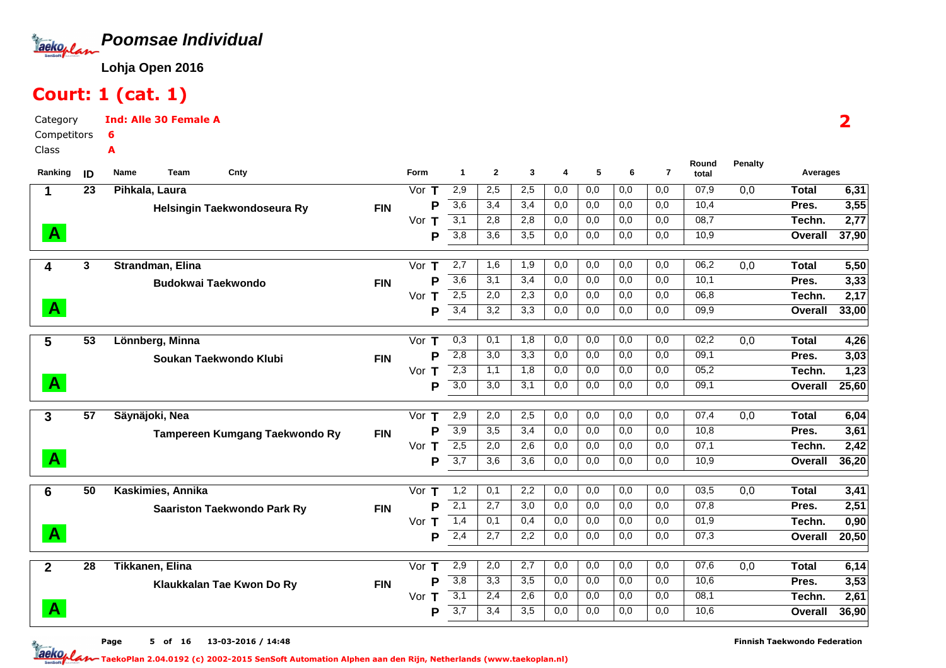

# Court: 1 (cat. 1)

Category CompetitorsClassInd: Alle 30 Female A6A

| Ranking        | ID              | Cnty<br>Team<br>Name               |            | <b>Form</b> | 1                | $\mathbf{2}$     | 3   | 4   | 5   | 6   | $\overline{7}$   | Round<br>total | <b>Penalty</b> | Averages       |       |  |  |  |  |
|----------------|-----------------|------------------------------------|------------|-------------|------------------|------------------|-----|-----|-----|-----|------------------|----------------|----------------|----------------|-------|--|--|--|--|
| 1              | 23              | Pihkala, Laura                     |            | Vor $T$     | 2,9              | 2,5              | 2,5 | 0,0 | 0,0 | 0,0 | 0,0              | 07,9           | 0,0            | <b>Total</b>   | 6,31  |  |  |  |  |
|                |                 | Helsingin Taekwondoseura Ry        | <b>FIN</b> | P           | $\overline{3,6}$ | 3,4              | 3,4 | 0,0 | 0,0 | 0,0 | 0,0              | 10,4           |                | Pres.          | 3,55  |  |  |  |  |
|                |                 |                                    |            | Vor $T$     | 3,1              | 2,8              | 2,8 | 0,0 | 0,0 | 0,0 | 0,0              | 08,7           |                | Techn.         | 2,77  |  |  |  |  |
| $\mathbf{A}$   |                 |                                    |            | P           | 3,8              | 3,6              | 3,5 | 0,0 | 0,0 | 0,0 | 0,0              | 10,9           |                | Overall        | 37,90 |  |  |  |  |
|                |                 |                                    |            |             |                  |                  |     |     |     |     |                  |                |                |                |       |  |  |  |  |
| 4              | 3               | Strandman, Elina                   |            | Vor $T$     | 2,7              | 1,6              | 1,9 | 0,0 | 0,0 | 0,0 | 0,0              | 06,2           | 0,0            | <b>Total</b>   | 5,50  |  |  |  |  |
|                |                 | <b>Budokwai Taekwondo</b>          | <b>FIN</b> | P           | 3,6              | 3,1              | 3,4 | 0,0 | 0,0 | 0,0 | 0,0              | 10,1           |                | Pres.          | 3,33  |  |  |  |  |
| $\mathbf{A}$   |                 |                                    |            | Vor<br>ா    | 2,5              | 2,0              | 2,3 | 0,0 | 0,0 | 0,0 | $\overline{0,0}$ | 06,8           |                | Techn.         | 2,17  |  |  |  |  |
|                |                 |                                    |            | P           | 3,4              | 3,2              | 3,3 | 0,0 | 0,0 | 0,0 | 0,0              | 09,9           |                | Overall        | 33,00 |  |  |  |  |
| 5              | $\overline{53}$ | Lönnberg, Minna                    |            | Vor $T$     | 0,3              | 0,1              | 1,8 | 0,0 | 0,0 | 0,0 | 0,0              | 02,2           | 0,0            | <b>Total</b>   | 4,26  |  |  |  |  |
|                |                 | Soukan Taekwondo Klubi             | <b>FIN</b> | P           | $\overline{2,8}$ | 3,0              | 3,3 | 0,0 | 0,0 | 0,0 | 0,0              | 09,1           |                | Pres.          | 3,03  |  |  |  |  |
|                |                 |                                    |            | Vor $T$     | $\overline{2,3}$ | 1.1              | 1,8 | 0,0 | 0,0 | 0,0 | 0,0              | 05,2           |                | Techn.         | 1,23  |  |  |  |  |
| $\mathbf{A}$   |                 |                                    |            | P           | 3,0              | 3,0              | 3,1 | 0,0 | 0,0 | 0,0 | 0,0              | 09,1           |                | Overall        | 25,60 |  |  |  |  |
|                |                 |                                    |            |             |                  |                  |     |     |     |     |                  |                |                |                |       |  |  |  |  |
| 3              | 57              | Säynäjoki, Nea                     |            | Vor $T$     | 2,9              | 2,0              | 2,5 | 0,0 | 0,0 | 0,0 | 0,0              | 07,4           | 0,0            | <b>Total</b>   | 6,04  |  |  |  |  |
|                |                 | Tampereen Kumgang Taekwondo Ry     | <b>FIN</b> | P           | 3,9              | 3,5              | 3,4 | 0,0 | 0,0 | 0,0 | 0,0              | 10,8           |                | Pres.          | 3,61  |  |  |  |  |
|                |                 |                                    |            | Vor $T$     | 2,5              | 2,0              | 2,6 | 0,0 | 0,0 | 0,0 | 0,0              | 07,1           |                | Techn.         | 2,42  |  |  |  |  |
| $\mathbf{A}$   |                 |                                    |            | P           | $\overline{3,7}$ | 3,6              | 3,6 | 0,0 | 0,0 | 0,0 | 0,0              | 10,9           |                | <b>Overall</b> | 36,20 |  |  |  |  |
|                | 50              | Kaskimies, Annika                  |            | Vor $T$     | 1,2              | 0,1              | 2,2 | 0,0 | 0,0 | 0,0 | 0,0              | 03,5           | 0,0            | <b>Total</b>   | 3,41  |  |  |  |  |
| $6\phantom{1}$ |                 |                                    |            | P           | 2,1              | 2,7              | 3,0 | 0,0 | 0,0 | 0,0 | 0,0              | 07,8           |                | Pres.          | 2,51  |  |  |  |  |
|                |                 | <b>Saariston Taekwondo Park Ry</b> | <b>FIN</b> | Vor $T$     | 1,4              | 0,1              | 0,4 | 0,0 | 0,0 | 0,0 | 0,0              | 01,9           |                | Techn.         | 0,90  |  |  |  |  |
| $\mathbf{A}$   |                 |                                    |            | P           | 2,4              | $\overline{2,7}$ | 2,2 | 0,0 | 0,0 | 0,0 | 0,0              | 07,3           |                | <b>Overall</b> | 20,50 |  |  |  |  |
|                |                 |                                    |            |             |                  |                  |     |     |     |     |                  |                |                |                |       |  |  |  |  |
| $\mathbf{2}$   | $\overline{28}$ | <b>Tikkanen, Elina</b>             |            | Vor $T$     | 2,9              | 2,0              | 2,7 | 0,0 | 0,0 | 0,0 | 0,0              | 07,6           | 0,0            | <b>Total</b>   | 6,14  |  |  |  |  |
|                |                 | Klaukkalan Tae Kwon Do Ry          | <b>FIN</b> | P           | $\overline{3,8}$ | 3,3              | 3,5 | 0,0 | 0,0 | 0,0 | 0,0              | 10,6           |                | Pres.          | 3,53  |  |  |  |  |
|                |                 |                                    |            | Vor $T$     | 3,1              | 2,4              | 2,6 | 0,0 | 0,0 | 0,0 | 0,0              | 08,1           |                | Techn.         | 2,61  |  |  |  |  |
| $\mathbf{A}$   |                 |                                    |            | P           | 3,7              | 3,4              | 3,5 | 0,0 | 0,0 | 0,0 | 0,0              | 10,6           |                | Overall        | 36,90 |  |  |  |  |

2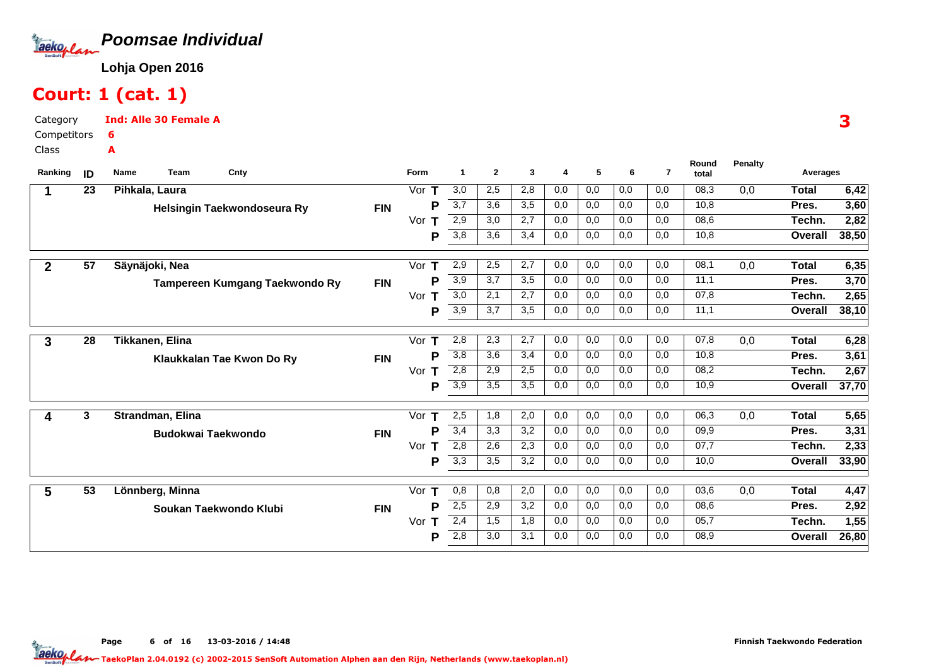

### Court: 1 (cat. 1)

Category CompetitorsClassInd: Alle 30 Female A6A

| 3,0<br>08,3<br>23<br>2,5<br>2,8<br>0,0<br>0,0<br>0,0<br>0,0<br>Pihkala, Laura<br>Vor<br>0,0<br>1<br>Т<br>3,7<br>3,6<br>3,5<br>0,0<br>10,8<br>P<br>0,0<br>0,0<br>0,0<br><b>FIN</b><br>Helsingin Taekwondoseura Ry<br>2,9<br>08,6<br>3,0<br>2,7<br>0,0<br>0,0<br>0,0<br>0,0<br>Vor<br>3,8<br>3,6<br>3,4<br>0,0<br>0,0<br>0,0<br>0,0<br>10,8<br>P<br>$\overline{57}$<br>Säynäjoki, Nea<br>2,9<br>0,0<br>0,0<br>0,0<br>08,1<br>0,0<br>Vor $T$<br>2,5<br>2,7<br>0,0<br>$\mathbf{2}$<br>$\overline{3,9}$<br>3,7<br>11,1<br>3,5<br>0,0<br>0,0<br>0,0<br>0,0<br>P<br><b>FIN</b><br>Tampereen Kumgang Taekwondo Ry | <b>Total</b><br>Pres.<br>Techn.<br>Overall<br><b>Total</b><br>Pres.<br>Techn.<br>Overall | 6,42<br>3,60<br>2,82<br>38,50<br>6,35<br>3,70 |
|-----------------------------------------------------------------------------------------------------------------------------------------------------------------------------------------------------------------------------------------------------------------------------------------------------------------------------------------------------------------------------------------------------------------------------------------------------------------------------------------------------------------------------------------------------------------------------------------------------------|------------------------------------------------------------------------------------------|-----------------------------------------------|
|                                                                                                                                                                                                                                                                                                                                                                                                                                                                                                                                                                                                           |                                                                                          |                                               |
|                                                                                                                                                                                                                                                                                                                                                                                                                                                                                                                                                                                                           |                                                                                          |                                               |
|                                                                                                                                                                                                                                                                                                                                                                                                                                                                                                                                                                                                           |                                                                                          |                                               |
|                                                                                                                                                                                                                                                                                                                                                                                                                                                                                                                                                                                                           |                                                                                          |                                               |
|                                                                                                                                                                                                                                                                                                                                                                                                                                                                                                                                                                                                           |                                                                                          |                                               |
|                                                                                                                                                                                                                                                                                                                                                                                                                                                                                                                                                                                                           |                                                                                          |                                               |
| $\overline{3,0}$<br>07,8<br>2,7<br>0,0<br>0,0<br>0,0<br>Vor<br>2,1<br>0,0<br>т                                                                                                                                                                                                                                                                                                                                                                                                                                                                                                                            |                                                                                          | 2,65                                          |
| $\overline{3,9}$<br>3,7<br>11,1<br>3,5<br>0,0<br>0,0<br>0,0<br>0,0<br>P                                                                                                                                                                                                                                                                                                                                                                                                                                                                                                                                   |                                                                                          | 38,10                                         |
|                                                                                                                                                                                                                                                                                                                                                                                                                                                                                                                                                                                                           |                                                                                          |                                               |
| 28<br>Tikkanen, Elina<br>2,8<br>2,3<br>2,7<br>0,0<br>0,0<br>0,0<br>0,0<br>07,8<br>Vor $T$<br>0,0<br>3                                                                                                                                                                                                                                                                                                                                                                                                                                                                                                     | <b>Total</b>                                                                             | 6,28                                          |
| $\overline{3,8}$<br>3,6<br>10,8<br>3,4<br>0,0<br>0,0<br>0,0<br>0,0<br>P<br><b>FIN</b><br>Klaukkalan Tae Kwon Do Ry                                                                                                                                                                                                                                                                                                                                                                                                                                                                                        | Pres.                                                                                    | 3,61                                          |
| 2,8<br>2,9<br>2,5<br>0,0<br>0,0<br>0,0<br>0,0<br>08,2<br>Vor<br>т                                                                                                                                                                                                                                                                                                                                                                                                                                                                                                                                         | Techn.                                                                                   | 2,67                                          |
| $\overline{3,9}$<br>10,9<br>3,5<br>3,5<br>0,0<br>0,0<br>0,0<br>0,0<br>P                                                                                                                                                                                                                                                                                                                                                                                                                                                                                                                                   | Overall                                                                                  | 37,70                                         |
| 0,0<br>0,0<br>06,3<br>2,5<br>1,8<br>2,0<br>0,0<br>0,0                                                                                                                                                                                                                                                                                                                                                                                                                                                                                                                                                     |                                                                                          |                                               |
| 3<br>0,0<br>Strandman, Elina<br>Vor<br>4<br>т<br>3,4<br>3,3<br>3,2<br>0,0<br>0,0<br>0,0<br>09,9<br>P<br>0,0                                                                                                                                                                                                                                                                                                                                                                                                                                                                                               | <b>Total</b>                                                                             | 5,65                                          |
| <b>FIN</b><br><b>Budokwai Taekwondo</b><br>2,8<br>07,7<br>2,6<br>2,3<br>0,0<br>0,0<br>0,0<br>0,0<br>Vor                                                                                                                                                                                                                                                                                                                                                                                                                                                                                                   | Pres.<br>Techn.                                                                          | 3,31<br>2,33                                  |
| Т<br>$\overline{3,3}$<br>10,0<br>3,5<br>3,2<br>0,0<br>0,0<br>0,0<br>0,0<br>P                                                                                                                                                                                                                                                                                                                                                                                                                                                                                                                              | Overall                                                                                  | 33,90                                         |
|                                                                                                                                                                                                                                                                                                                                                                                                                                                                                                                                                                                                           |                                                                                          |                                               |
| $\overline{53}$<br>0,8<br>2,0<br>0,0<br>0,0<br>0,0<br>0,0<br>03,6<br>5<br>Lönnberg, Minna<br>Vor $T$<br>0,8<br>0,0                                                                                                                                                                                                                                                                                                                                                                                                                                                                                        | <b>Total</b>                                                                             | 4,47                                          |
| 2,5<br>P<br>2,9<br>3,2<br>0,0<br>0,0<br>0,0<br>0,0<br>08,6<br><b>FIN</b><br>Soukan Taekwondo Klubi                                                                                                                                                                                                                                                                                                                                                                                                                                                                                                        | Pres.                                                                                    | 2,92                                          |
| 2,4<br>0,0<br>05,7<br>1,5<br>1,8<br>0,0<br>0,0<br>0,0<br>Vor<br>т                                                                                                                                                                                                                                                                                                                                                                                                                                                                                                                                         | Techn.                                                                                   | 1,55                                          |
| 2,8<br>3,0<br>3,1<br>0,0<br>0,0<br>0,0<br>0,0<br>08,9<br>P                                                                                                                                                                                                                                                                                                                                                                                                                                                                                                                                                | Overall                                                                                  | 26,80                                         |

3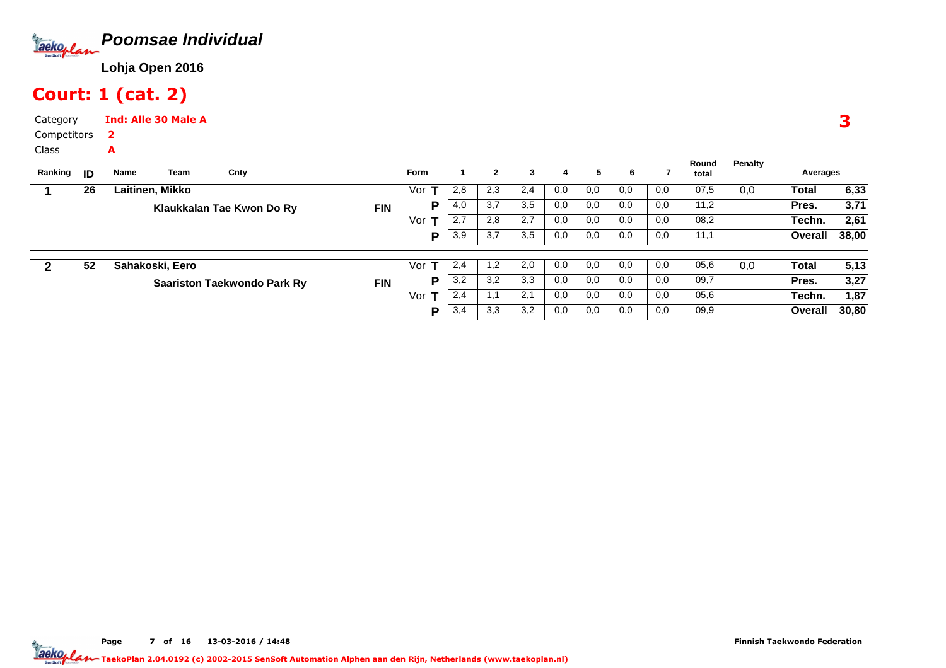

# Court: 1 (cat. 2)

Category CompetitorsInd: Alle 30 Male A2

A

Class

| Ranking | ID | Name            | Team | Cnty                               |            | Form |     | $\mathbf{2}$ | 3   | 4   | 5   | 6   |     | Round<br>total | Penalty | Averages |       |
|---------|----|-----------------|------|------------------------------------|------------|------|-----|--------------|-----|-----|-----|-----|-----|----------------|---------|----------|-------|
|         | 26 | Laitinen, Mikko |      |                                    |            | Vor  | 2,8 | 2,3          | 2,4 | 0,0 | 0,0 | 0,0 | 0,0 | 07,5           | 0,0     | Total    | 6,33  |
|         |    |                 |      | Klaukkalan Tae Kwon Do Ry          | <b>FIN</b> | Р    | 4,0 | 3,7          | 3,5 | 0,0 | 0,0 | 0,0 | 0,0 | 11,2           |         | Pres.    | 3,71  |
|         |    |                 |      |                                    |            | Vor  | 2,7 | 2,8          | 2,7 | 0,0 | 0,0 | 0,0 | 0,0 | 08,2           |         | Techn.   | 2,61  |
|         |    |                 |      |                                    |            | P    | 3,9 | 3,7          | 3,5 | 0,0 | 0,0 | 0,0 | 0,0 | 11,1           |         | Overall  | 38,00 |
|         |    |                 |      |                                    |            |      |     |              |     |     |     |     |     |                |         |          |       |
|         | 52 | Sahakoski, Eero |      |                                    |            | Vor  | 2,4 | 1,2          | 2,0 | 0,0 | 0,0 | 0,0 | 0,0 | 05,6           | 0,0     | Total    | 5,13  |
|         |    |                 |      | <b>Saariston Taekwondo Park Ry</b> | <b>FIN</b> | Р    | 3,2 | 3,2          | 3,3 | 0,0 | 0,0 | 0,0 | 0,0 | 09,7           |         | Pres.    | 3,27  |
|         |    |                 |      |                                    |            | Vor  | 2,4 | <b>L.I</b>   | 2,1 | 0,0 | 0,0 | 0,0 | 0,0 | 05,6           |         | Techn.   | 1,87  |
|         |    |                 |      |                                    |            | P    | 3,4 | 3,3          | 3,2 | 0,0 | 0,0 | 0,0 | 0,0 | 09,9           |         | Overall  | 30,80 |
|         |    |                 |      |                                    |            |      |     |              |     |     |     |     |     |                |         |          |       |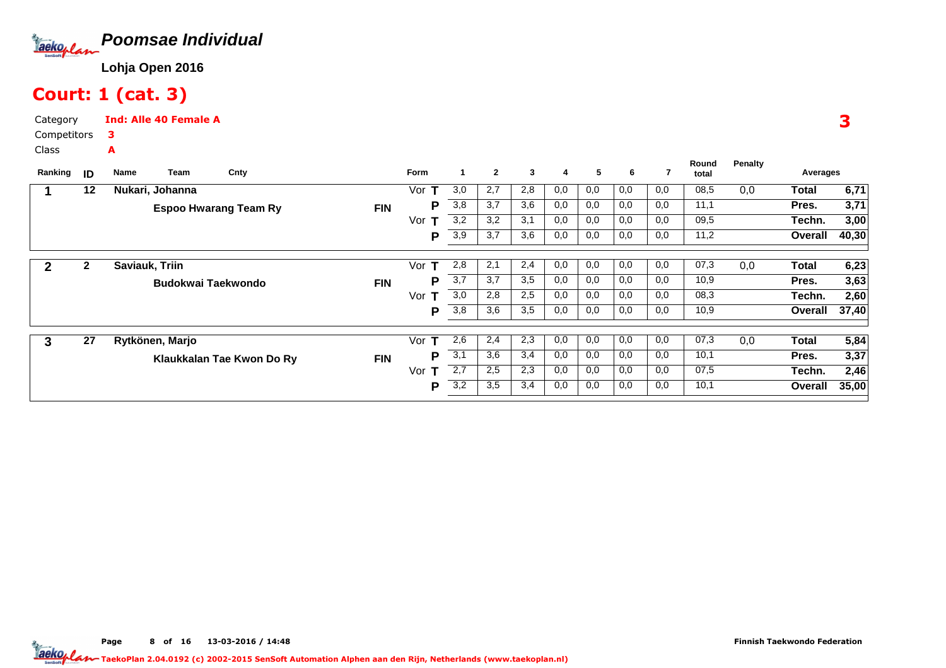

# Court: 1 (cat. 3)

Category CompetitorsInd: Alle 40 Female A3A

Class

| Ranking | ID           | Team<br>Cnty<br>Name         |            | <b>Form</b> |     | $\mathbf{2}$ | 3   | 4   | 5   | 6   |     | Round<br>total | <b>Penalty</b> | Averages     |       |
|---------|--------------|------------------------------|------------|-------------|-----|--------------|-----|-----|-----|-----|-----|----------------|----------------|--------------|-------|
|         | 12           | Nukari, Johanna              |            | Vor         | 3,0 | 2,7          | 2,8 | 0,0 | 0,0 | 0,0 | 0,0 | 08,5           | 0,0            | Total        | 6,71  |
|         |              | <b>Espoo Hwarang Team Ry</b> | <b>FIN</b> | P           | 3,8 | 3.7          | 3,6 | 0,0 | 0,0 | 0,0 | 0,0 | 11,1           |                | Pres.        | 3,71  |
|         |              |                              |            | Vor         | 3,2 | 3,2          | 3,1 | 0,0 | 0,0 | 0,0 | 0,0 | 09,5           |                | Techn.       | 3,00  |
|         |              |                              |            | Р           | 3,9 | 3,7          | 3,6 | 0,0 | 0,0 | 0,0 | 0,0 | 11,2           |                | Overall      | 40,30 |
| 2       | $\mathbf{2}$ | Saviauk, Triin               |            | Vor<br>т    | 2,8 | 2,1          | 2,4 | 0,0 | 0,0 | 0,0 | 0,0 | 07,3           | 0,0            | Total        | 6,23  |
|         |              | Budokwai Taekwondo           | <b>FIN</b> | Р           | 3,7 | 3,7          | 3,5 | 0,0 | 0,0 | 0,0 | 0,0 | 10,9           |                | Pres.        | 3,63  |
|         |              |                              |            | Vor<br>т    | 3,0 | 2,8          | 2,5 | 0,0 | 0,0 | 0,0 | 0,0 | 08,3           |                | Techn.       | 2,60  |
|         |              |                              |            | P           | 3,8 | 3,6          | 3,5 | 0,0 | 0,0 | 0,0 | 0,0 | 10,9           |                | Overall      | 37,40 |
| 3       | 27           | Rytkönen, Marjo              |            | Vor<br>т    | 2,6 | 2,4          | 2,3 | 0,0 | 0,0 | 0,0 | 0,0 | 07,3           | 0,0            | <b>Total</b> | 5,84  |
|         |              | Klaukkalan Tae Kwon Do Ry    | <b>FIN</b> | D           | 3,1 | 3,6          | 3,4 | 0,0 | 0,0 | 0,0 | 0,0 | 10,1           |                | Pres.        | 3,37  |
|         |              |                              |            | Vor<br>т    | 2,7 | 2,5          | 2,3 | 0,0 | 0,0 | 0,0 | 0,0 | 07,5           |                | Techn.       | 2,46  |
|         |              |                              |            | P           | 3,2 | 3,5          | 3,4 | 0,0 | 0,0 | 0,0 | 0,0 | 10,1           |                | Overall      | 35,00 |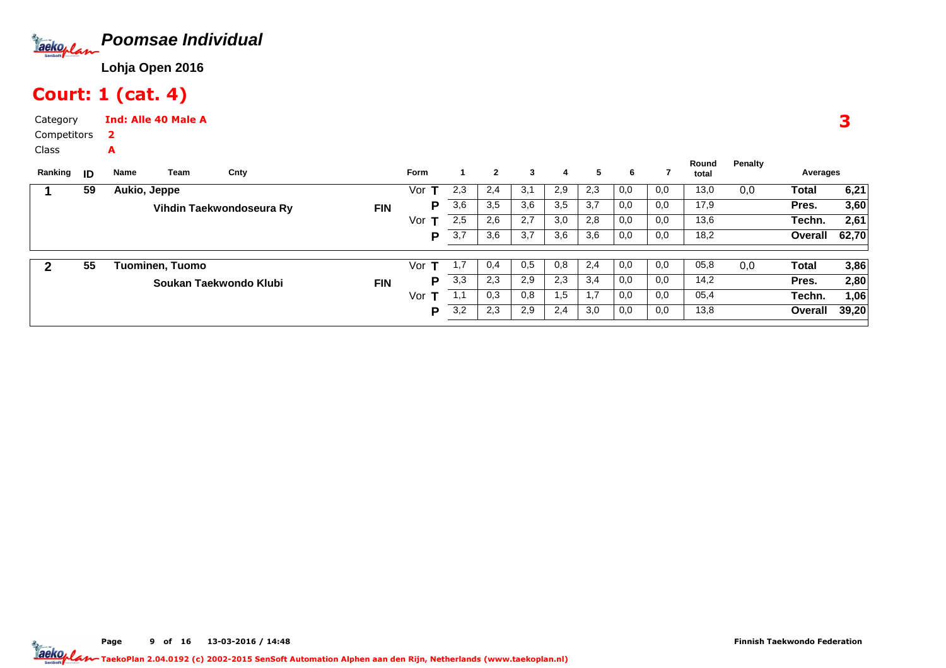

# Court: 1 (cat. 4)

Category CompetitorsInd: Alle 40 Male A2

A

Class

| Ranking | ID | Name         | Team            | Cnty                     |            | <b>Form</b> |     | $\mathbf{2}$ | 3   | 4   | 5   | 6   |     | Round<br>total | Penalty | Averages     |       |
|---------|----|--------------|-----------------|--------------------------|------------|-------------|-----|--------------|-----|-----|-----|-----|-----|----------------|---------|--------------|-------|
|         | 59 | Aukio, Jeppe |                 |                          |            | Vor         | 2,3 | 2,4          | 3,1 | 2,9 | 2,3 | 0,0 | 0,0 | 13,0           | 0,0     | Total        | 6,21  |
|         |    |              |                 | Vihdin Taekwondoseura Ry | <b>FIN</b> | Р           | 3,6 | 3,5          | 3,6 | 3,5 | 3,7 | 0,0 | 0,0 | 17,9           |         | Pres.        | 3,60  |
|         |    |              |                 |                          |            | Vor         | 2,5 | 2,6          | 2,7 | 3,0 | 2,8 | 0,0 | 0,0 | 13,6           |         | Techn.       | 2,61  |
|         |    |              |                 |                          |            | P           | 3,7 | 3,6          | 3,7 | 3,6 | 3,6 | 0,0 | 0,0 | 18,2           |         | Overall      | 62,70 |
|         | 55 |              | Tuominen, Tuomo |                          |            | Vor         |     | 0,4          | 0.5 | 0,8 | 2,4 | 0,0 | 0,0 | 05,8           | 0,0     | <b>Total</b> | 3,86  |
|         |    |              |                 | Soukan Taekwondo Klubi   | <b>FIN</b> | Р           | 3,3 | 2,3          | 2,9 | 2,3 | 3,4 | 0,0 | 0,0 | 14,2           |         | Pres.        | 2,80  |
|         |    |              |                 |                          |            | Vor         |     | 0,3          | 0,8 | 1,5 | 1,7 | 0,0 | 0,0 | 05,4           |         | Techn.       | 1,06  |
|         |    |              |                 |                          |            | Р           | 3,2 | 2,3          | 2,9 | 2,4 | 3,0 | 0,0 | 0,0 | 13,8           |         | Overall      | 39,20 |

3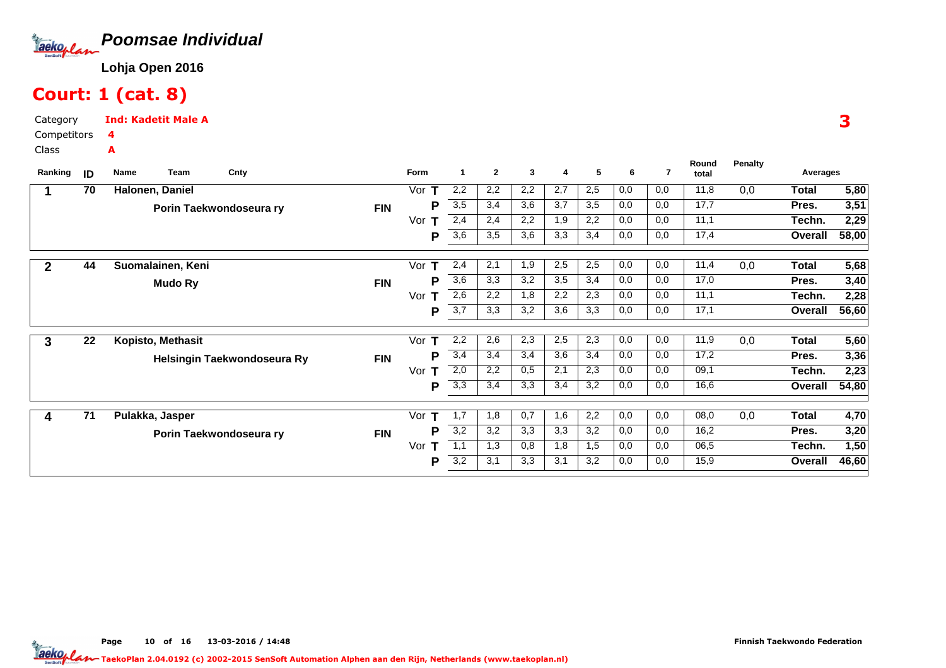

# Court: 1 (cat. 8)

Category CompetitorsClassInd: Kadetit Male A4A

| Ranking        | ID              | Team<br><b>Name</b> | Cnty                        |            | Form      | 1   | $\mathbf{2}$ | 3   | 4   | 5   | 6   | 7   | Round | <b>Penalty</b> | Averages     |       |
|----------------|-----------------|---------------------|-----------------------------|------------|-----------|-----|--------------|-----|-----|-----|-----|-----|-------|----------------|--------------|-------|
|                |                 |                     |                             |            |           |     |              |     |     |     |     |     | total |                |              |       |
|                | $\overline{70}$ | Halonen, Daniel     |                             |            | Vor       | 2,2 | 2,2          | 2,2 | 2,7 | 2,5 | 0,0 | 0,0 | 11,8  | 0,0            | <b>Total</b> | 5,80  |
|                |                 |                     | Porin Taekwondoseura ry     | <b>FIN</b> | Р         | 3,5 | 3,4          | 3,6 | 3,7 | 3,5 | 0,0 | 0,0 | 17,7  |                | Pres.        | 3,51  |
|                |                 |                     |                             |            | Vor<br>T. | 2,4 | 2,4          | 2,2 | 1,9 | 2,2 | 0,0 | 0,0 | 11,1  |                | Techn.       | 2,29  |
|                |                 |                     |                             |            | Р         | 3,6 | 3,5          | 3,6 | 3,3 | 3,4 | 0,0 | 0,0 | 17,4  |                | Overall      | 58,00 |
|                |                 |                     |                             |            |           |     |              |     |     |     |     |     |       |                |              |       |
| $\overline{2}$ | 44              | Suomalainen, Keni   |                             |            | т<br>Vor  | 2,4 | 2,1          | 1,9 | 2,5 | 2,5 | 0,0 | 0,0 | 11,4  | 0,0            | Total        | 5,68  |
|                |                 | <b>Mudo Ry</b>      |                             | <b>FIN</b> | Р         | 3,6 | 3,3          | 3,2 | 3,5 | 3,4 | 0,0 | 0,0 | 17,0  |                | Pres.        | 3,40  |
|                |                 |                     |                             |            | Vor<br>т  | 2,6 | 2,2          | 1,8 | 2,2 | 2,3 | 0,0 | 0,0 | 11,1  |                | Techn.       | 2,28  |
|                |                 |                     |                             |            | Р         | 3,7 | 3,3          | 3,2 | 3,6 | 3,3 | 0,0 | 0,0 | 17,1  |                | Overall      | 56,60 |
|                |                 |                     |                             |            |           |     |              |     |     |     |     |     |       |                |              |       |
| 3              | 22              | Kopisto, Methasit   |                             |            | т<br>Vor  | 2,2 | 2,6          | 2,3 | 2,5 | 2,3 | 0,0 | 0,0 | 11,9  | 0,0            | Total        | 5,60  |
|                |                 |                     | Helsingin Taekwondoseura Ry | <b>FIN</b> | Р         | 3,4 | 3,4          | 3,4 | 3,6 | 3,4 | 0,0 | 0,0 | 17,2  |                | Pres.        | 3,36  |
|                |                 |                     |                             |            | Vor $T$   | 2,0 | 2,2          | 0,5 | 2,1 | 2,3 | 0,0 | 0,0 | 09,1  |                | Techn.       | 2,23  |
|                |                 |                     |                             |            | Р         | 3,3 | 3,4          | 3,3 | 3,4 | 3,2 | 0,0 | 0,0 | 16,6  |                | Overall      | 54,80 |
|                |                 |                     |                             |            |           |     |              |     |     |     |     |     |       |                |              |       |
| 4              | 71              | Pulakka, Jasper     |                             |            | т<br>Vor  | 1,7 | 1,8          | 0,7 | 1,6 | 2,2 | 0,0 | 0,0 | 08,0  | 0,0            | <b>Total</b> | 4,70  |
|                |                 |                     | Porin Taekwondoseura ry     | <b>FIN</b> | Р         | 3,2 | 3,2          | 3,3 | 3,3 | 3,2 | 0,0 | 0,0 | 16,2  |                | Pres.        | 3,20  |
|                |                 |                     |                             |            | Vor<br>т  | 1,1 | 1,3          | 0,8 | 1,8 | 1,5 | 0,0 | 0,0 | 06,5  |                | Techn.       | 1,50  |
|                |                 |                     |                             |            | P         | 3,2 | 3,1          | 3,3 | 3,1 | 3,2 | 0,0 | 0,0 | 15,9  |                | Overall      | 46,60 |
|                |                 |                     |                             |            |           |     |              |     |     |     |     |     |       |                |              |       |

Page 10 of 16 13-03-2016 / 14:48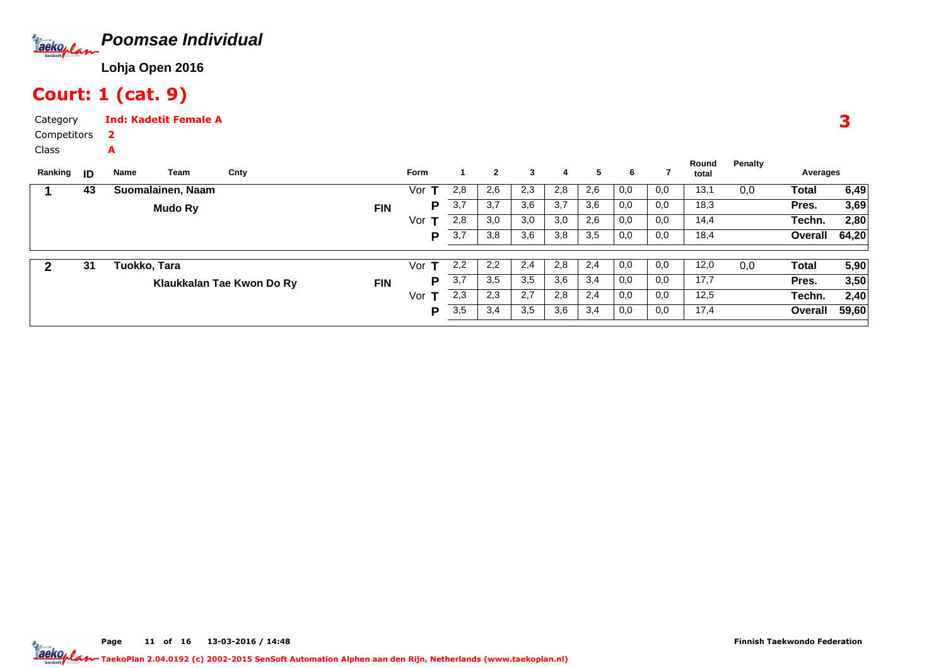

### Court: 1 (cat. 9)

A

Category CompetitorsInd: Kadetit Female A2

Class

| Ranking | ID | Name         | Team              | Cnty                      |            | <b>Form</b> |     | $\mathbf{2}$ | 3   | 4   | 5   | 6   |     | Round<br>total | Penalty | Averages     |       |
|---------|----|--------------|-------------------|---------------------------|------------|-------------|-----|--------------|-----|-----|-----|-----|-----|----------------|---------|--------------|-------|
|         | 43 |              | Suomalainen, Naam |                           |            | Vor         | 2,8 | 2,6          | 2,3 | 2,8 | 2,6 | 0,0 | 0,0 | 13,1           | 0,0     | Total        | 6,49  |
|         |    |              | Mudo Ry           |                           | <b>FIN</b> | P           | 3,7 | 3,7          | 3,6 | 3,7 | 3,6 | 0,0 | 0,0 | 18,3           |         | Pres.        | 3,69  |
|         |    |              |                   |                           |            | Vor         | 2,8 | 3,0          | 3,0 | 3,0 | 2,6 | 0,0 | 0,0 | 14,4           |         | Techn.       | 2,80  |
|         |    |              |                   |                           |            | P           | 3,7 | 3,8          | 3,6 | 3,8 | 3,5 | 0,0 | 0,0 | 18,4           |         | Overall      | 64,20 |
|         | 31 | Tuokko, Tara |                   |                           |            | Vor<br>T    | 2,2 | 2,2          | 2,4 | 2,8 | 2,4 | 0,0 | 0,0 | 12,0           | 0,0     | <b>Total</b> | 5,90  |
|         |    |              |                   | Klaukkalan Tae Kwon Do Ry | <b>FIN</b> | P           | 3,7 | 3,5          | 3,5 | 3,6 | 3,4 | 0,0 | 0,0 | 17,7           |         | Pres.        | 3,50  |
|         |    |              |                   |                           |            | Vor<br>Ŧ    | 2,3 | 2,3          | 2,7 | 2,8 | 2,4 | 0,0 | 0,0 | 12,5           |         | Techn.       | 2,40  |
|         |    |              |                   |                           |            | P           | 3,5 | 3,4          | 3,5 | 3,6 | 3,4 | 0,0 | 0,0 | 17,4           |         | Overall      | 59,60 |
|         |    |              |                   |                           |            |             |     |              |     |     |     |     |     |                |         |              |       |

3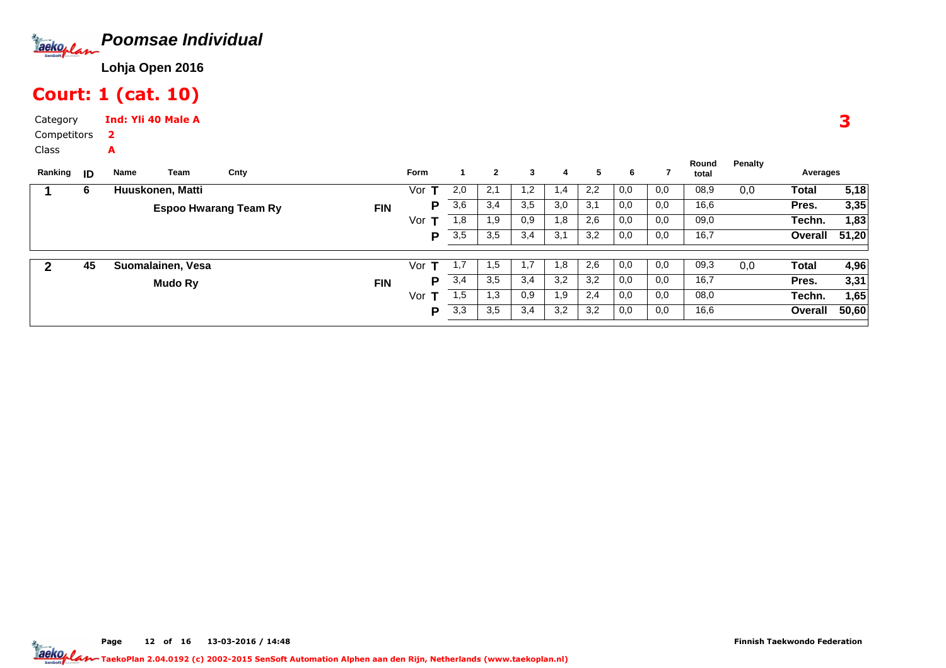

### Court: 1 (cat. 10)

Category CompetitorsInd: Yli 40 Male A2

A

Class

| Ranking | ID | Name             | Team              | Cnty                         |            | <b>Form</b> |     | $\mathbf{2}$ | 3    | 4   | 5   | 6   |     | Round<br>total | Penalty | Averages |       |
|---------|----|------------------|-------------------|------------------------------|------------|-------------|-----|--------------|------|-----|-----|-----|-----|----------------|---------|----------|-------|
|         | 6  | Huuskonen, Matti |                   |                              |            | Vor         | 2,0 | 2,1          | 1,2  | 1.4 | 2,2 | 0,0 | 0,0 | 08,9           | 0,0     | Total    | 5,18  |
|         |    |                  |                   | <b>Espoo Hwarang Team Ry</b> | <b>FIN</b> | P           | 3,6 | 3,4          | 3,5  | 3,0 | 3,1 | 0,0 | 0,0 | 16,6           |         | Pres.    | 3,35  |
|         |    |                  |                   |                              |            | Vor         | 1,8 | 1,9          | 0,9  | 1,8 | 2,6 | 0,0 | 0,0 | 09,0           |         | Techn.   | 1,83  |
|         |    |                  |                   |                              |            | D           | 3,5 | 3,5          | 3,4  | 3,1 | 3,2 | 0,0 | 0,0 | 16,7           |         | Overall  | 51,20 |
|         |    |                  |                   |                              |            |             |     |              |      |     |     |     |     |                |         |          |       |
| 2       | 45 |                  | Suomalainen, Vesa |                              |            | Vor         | 1,1 | 1,5          | 1, I | 1.8 | 2,6 | 0,0 | 0,0 | 09,3           | 0,0     | Total    | 4,96  |
|         |    |                  | Mudo Ry           |                              | <b>FIN</b> | P           | 3,4 | 3,5          | 3,4  | 3,2 | 3,2 | 0,0 | 0,0 | 16,7           |         | Pres.    | 3,31  |
|         |    |                  |                   |                              |            | Vor         | 1,5 | 1,3          | 0,9  | 1,9 | 2,4 | 0,0 | 0,0 | 08,0           |         | Techn.   | 1,65  |
|         |    |                  |                   |                              |            | P           | 3,3 | 3,5          | 3,4  | 3,2 | 3,2 | 0,0 | 0,0 | 16,6           |         | Overall  | 50,60 |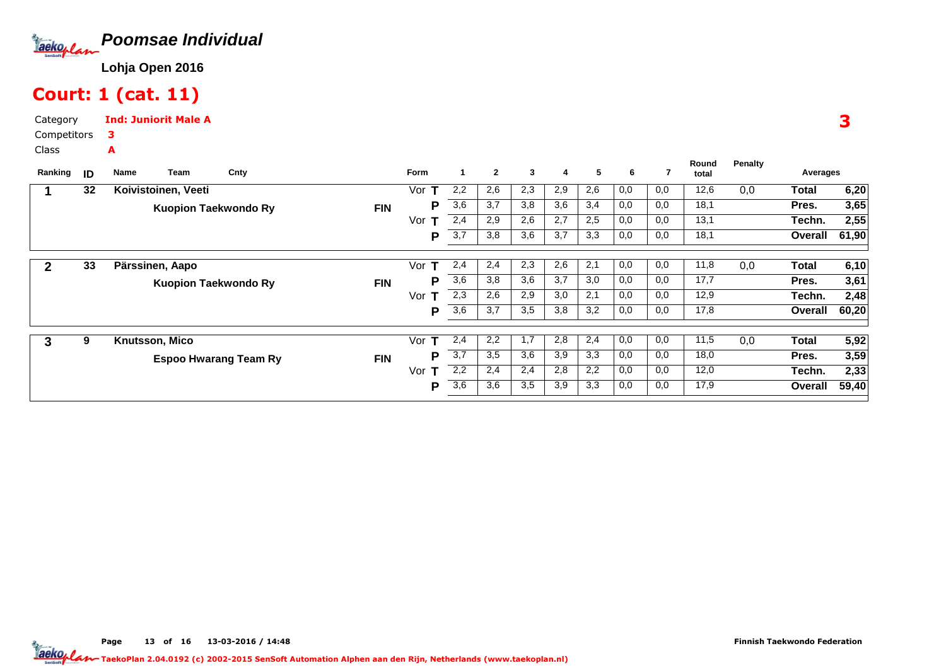

### Court: 1 (cat. 11)

Category CompetitorsClassInd: Juniorit Male A3A

| Ranking | ID | Team<br>Name                | Cnty                         |            | <b>Form</b> |     | $\mathbf{2}$ | 3   | 4   | 5   | 6   |     | Round<br>total | <b>Penalty</b> | Averages |       |  |  |
|---------|----|-----------------------------|------------------------------|------------|-------------|-----|--------------|-----|-----|-----|-----|-----|----------------|----------------|----------|-------|--|--|
|         |    |                             |                              |            |             |     |              |     |     |     |     |     |                |                |          |       |  |  |
|         | 32 | Koivistoinen, Veeti         |                              |            | Vor<br>т    | 2,2 | 2,6          | 2,3 | 2,9 | 2,6 | 0,0 | 0,0 | 12,6           | 0,0            | Total    | 6,20  |  |  |
|         |    | <b>Kuopion Taekwondo Ry</b> |                              | <b>FIN</b> | Р           | 3,6 | 3.7          | 3,8 | 3,6 | 3,4 | 0,0 | 0,0 | 18,1           |                | Pres.    | 3,65  |  |  |
|         |    |                             |                              |            | Vor         | 2,4 | 2,9          | 2,6 | 2,7 | 2,5 | 0,0 | 0,0 | 13,1           |                | Techn.   | 2,55  |  |  |
|         |    |                             |                              |            | Р           | 3,7 | 3,8          | 3,6 | 3,7 | 3,3 | 0,0 | 0,0 | 18,1           |                | Overall  | 61,90 |  |  |
|         |    |                             |                              |            |             |     |              |     |     |     |     |     |                |                |          |       |  |  |
| 2       | 33 | Pärssinen, Aapo             |                              |            | Vor<br>т    | 2,4 | 2,4          | 2,3 | 2,6 | 2,1 | 0,0 | 0,0 | 11,8           | 0,0            | Total    | 6,10  |  |  |
|         |    | <b>Kuopion Taekwondo Ry</b> |                              | <b>FIN</b> | Р           | 3,6 | 3,8          | 3,6 | 3,7 | 3,0 | 0,0 | 0,0 | 17,7           |                | Pres.    | 3,61  |  |  |
|         |    |                             |                              |            | Vor<br>т    | 2,3 | 2,6          | 2,9 | 3,0 | 2,1 | 0,0 | 0,0 | 12,9           |                | Techn.   | 2,48  |  |  |
|         |    |                             |                              |            | Р           | 3,6 | 3,7          | 3,5 | 3,8 | 3,2 | 0,0 | 0,0 | 17,8           |                | Overall  | 60,20 |  |  |
|         |    |                             |                              |            |             |     |              |     |     |     |     |     |                |                |          |       |  |  |
| 3       | 9  | Knutsson, Mico              |                              |            | Vor<br>т    | 2,4 | 2,2          | 1,7 | 2,8 | 2,4 | 0,0 | 0,0 | 11,5           | 0,0            | Total    | 5,92  |  |  |
|         |    |                             | <b>Espoo Hwarang Team Ry</b> | <b>FIN</b> | D           | 3,7 | 3,5          | 3,6 | 3,9 | 3,3 | 0,0 | 0,0 | 18,0           |                | Pres.    | 3,59  |  |  |
|         |    |                             |                              |            | Vor<br>т    | 2,2 | 2,4          | 2,4 | 2,8 | 2,2 | 0,0 | 0,0 | 12,0           |                | Techn.   | 2,33  |  |  |
|         |    |                             |                              |            | P           | 3,6 | 3,6          | 3,5 | 3,9 | 3,3 | 0,0 | 0,0 | 17,9           |                | Overall  | 59,40 |  |  |
|         |    |                             |                              |            |             |     |              |     |     |     |     |     |                |                |          |       |  |  |

3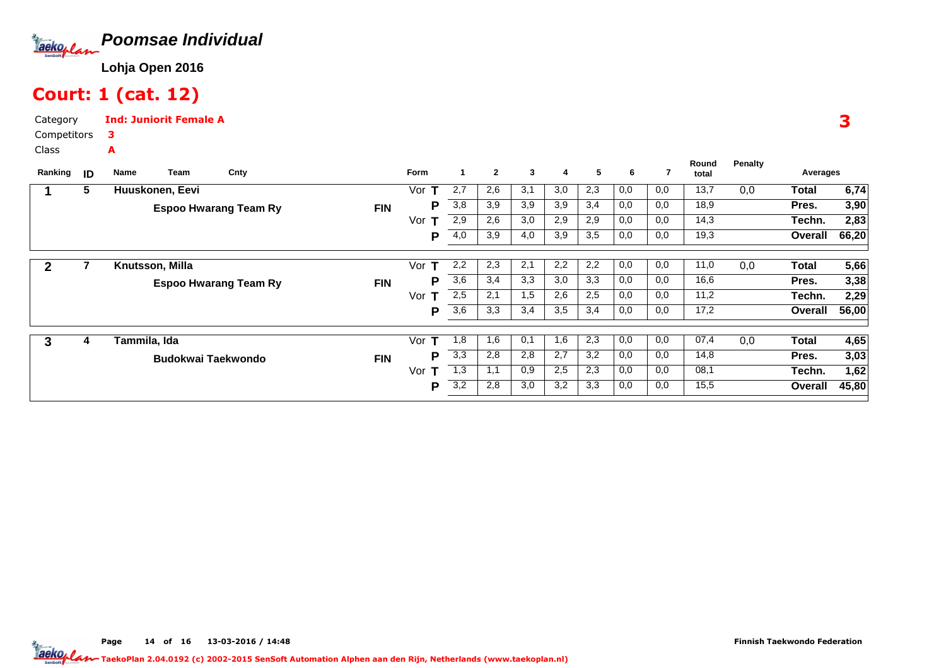

### Court: 1 (cat. 12)

A

Category CompetitorsInd: Juniorit Female A3

Class

| Ranking <b>ID</b> |   | Team<br>Name              | Cnty                         |            | Form     |                  | $\mathbf{2}$ | 3   | 4   | 5   | 6   | 7   | Round<br>total | <b>Penalty</b> | Averages     |       |
|-------------------|---|---------------------------|------------------------------|------------|----------|------------------|--------------|-----|-----|-----|-----|-----|----------------|----------------|--------------|-------|
|                   | 5 | Huuskonen, Eevi           |                              |            | Vor      | 2,7              | 2,6          | 3,1 | 3,0 | 2,3 | 0,0 | 0,0 | 13,7           | 0,0            | Total        | 6,74  |
|                   |   |                           | <b>Espoo Hwarang Team Ry</b> | <b>FIN</b> | Р        | 3,8              | 3,9          | 3,9 | 3,9 | 3,4 | 0,0 | 0,0 | 18,9           |                | Pres.        | 3,90  |
|                   |   |                           |                              |            | Vor<br>т | 2,9              | 2,6          | 3,0 | 2,9 | 2,9 | 0,0 | 0,0 | 14,3           |                | Techn.       | 2,83  |
|                   |   |                           |                              |            | Р        | 4,0              | 3,9          | 4,0 | 3,9 | 3,5 | 0,0 | 0,0 | 19,3           |                | Overall      | 66,20 |
|                   |   | Knutsson, Milla           |                              |            | Vor<br>т | 2,2              | 2,3          | 2,1 | 2,2 | 2,2 | 0,0 | 0,0 | 11,0           | 0,0            | Total        | 5,66  |
|                   |   |                           | <b>Espoo Hwarang Team Ry</b> | <b>FIN</b> | D        | 3,6              | 3,4          | 3,3 | 3,0 | 3,3 | 0,0 | 0,0 | 16,6           |                | Pres.        | 3,38  |
|                   |   |                           |                              |            | Vor<br>т | 2,5              | 2,1          | 1,5 | 2,6 | 2,5 | 0,0 | 0,0 | 11,2           |                | Techn.       | 2,29  |
|                   |   |                           |                              |            | P        | 3,6              | 3,3          | 3,4 | 3,5 | 3,4 | 0,0 | 0,0 | 17,2           |                | Overall      | 56,00 |
|                   | 4 | Tammila, Ida              |                              |            | Vor<br>т | 1,8              | 1,6          | 0,1 | 1,6 | 2,3 | 0,0 | 0,0 | 07,4           | 0,0            | <b>Total</b> | 4,65  |
| 3                 |   |                           |                              |            | D        | 3,3              | 2,8          | 2,8 | 2,7 | 3,2 | 0,0 | 0,0 | 14,8           |                | Pres.        | 3,03  |
|                   |   | <b>Budokwai Taekwondo</b> |                              | <b>FIN</b> |          |                  |              |     |     |     |     |     |                |                |              |       |
|                   |   |                           |                              |            | Vor      | 1,3              | 1,1          | 0,9 | 2,5 | 2,3 | 0,0 | 0,0 | 08,1           |                | Techn.       | 1,62  |
|                   |   |                           |                              |            | P        | $\overline{3,2}$ | 2,8          | 3,0 | 3,2 | 3,3 | 0,0 | 0,0 | 15,5           |                | Overall      | 45,80 |

3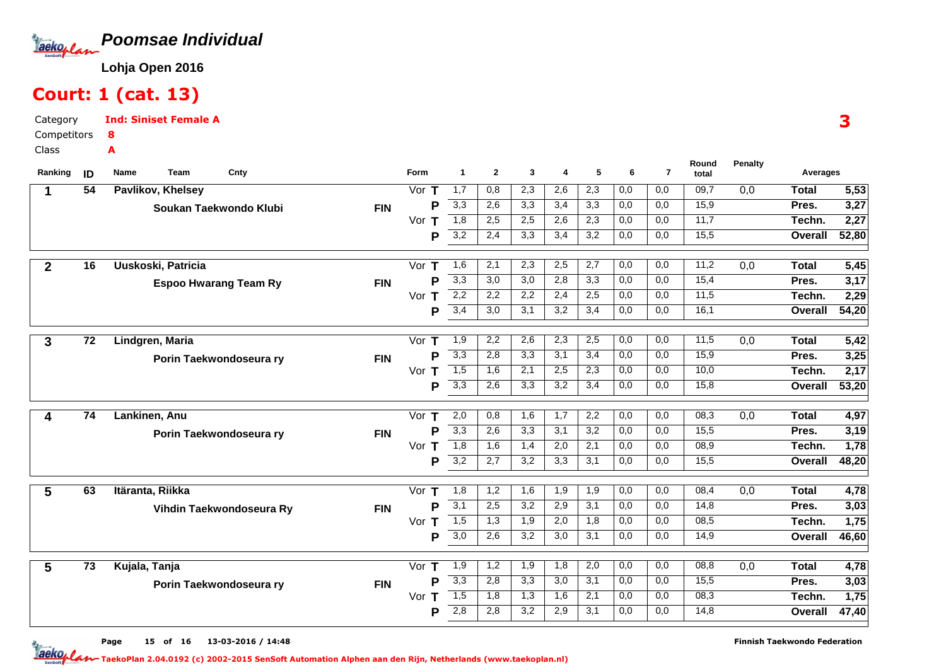

#### Court: 1 (cat. 13)

Category CompetitorsClassInd: Siniset Female A8A

| Ranking      | ID              | Cnty<br>Team<br>Name         |            | Form          | $\mathbf 1$                          | $\mathbf{2}$     | 3          | 4          | 5          | 6                | $\overline{7}$ | Round<br>total | <b>Penalty</b>   | Averages     |       |
|--------------|-----------------|------------------------------|------------|---------------|--------------------------------------|------------------|------------|------------|------------|------------------|----------------|----------------|------------------|--------------|-------|
| 1            | $\overline{54}$ | Pavlikov, Khelsey            |            | Vor $T$       | $\overline{1,7}$                     | 0,8              | 2,3        | 2,6        | 2,3        | $\overline{0,0}$ | 0,0            | 09,7           | $\overline{0,0}$ | <b>Total</b> | 5,53  |
|              |                 | Soukan Taekwondo Klubi       | <b>FIN</b> | Þ             | 3,3                                  | 2,6              | 3,3        | 3,4        | 3,3        | 0,0              | 0,0            | 15,9           |                  | Pres.        | 3,27  |
|              |                 |                              |            | Vor<br>т      | $\overline{1,8}$                     | 2,5              | 2,5        | 2,6        | 2,3        | 0,0              | 0,0            | 11,7           |                  | Techn.       | 2,27  |
|              |                 |                              |            | Þ             | 3,2                                  | 2,4              | 3,3        | 3,4        | 3,2        | 0,0              | 0,0            | 15,5           |                  | Overall      | 52,80 |
| $\mathbf{2}$ | $\overline{16}$ | Uuskoski, Patricia           |            | Vor $T$       | 1,6                                  | $\overline{2,1}$ | 2,3        | 2,5        | 2,7        | 0,0              | 0,0            | 11,2           | 0,0              | <b>Total</b> | 5,45  |
|              |                 | <b>Espoo Hwarang Team Ry</b> | <b>FIN</b> | Þ             | 3,3                                  | 3,0              | 3,0        | 2,8        | 3,3        | 0,0              | 0,0            | 15,4           |                  | Pres.        | 3,17  |
|              |                 |                              |            | Vor T         | 2,2                                  | 2,2              | 2,2        | 2,4        | 2,5        | 0,0              | 0,0            | 11,5           |                  | Techn.       | 2,29  |
|              |                 |                              |            | P             | 3,4                                  | 3,0              | 3,1        | 3,2        | 3,4        | 0,0              | 0,0            | 16,1           |                  | Overall      | 54,20 |
|              |                 |                              |            |               |                                      |                  |            |            |            |                  |                |                |                  |              |       |
| $\mathbf{3}$ | $\overline{72}$ | Lindgren, Maria              |            | Vor $T$       | 1,9                                  | 2,2              | 2,6        | 2,3        | 2,5        | $\overline{0,0}$ | 0,0            | 11,5           | 0,0              | <b>Total</b> | 5,42  |
|              |                 | Porin Taekwondoseura ry      | <b>FIN</b> | P             | 3,3                                  | 2,8              | 3,3        | 3,1        | 3,4        | 0,0              | 0,0            | 15,9           |                  | Pres.        | 3,25  |
|              |                 |                              |            | Vor T         | $\overline{1,5}$                     | 1,6              | 2,1        | 2,5        | 2,3        | 0,0              | 0,0            | 10,0           |                  | Techn.       | 2,17  |
|              |                 |                              |            | P             | 3,3                                  | 2,6              | 3,3        | 3,2        | 3,4        | 0,0              | 0,0            | 15,8           |                  | Overall      | 53,20 |
| 4            | 74              | Lankinen, Anu                |            | Vor $T$       | 2,0                                  | 0,8              | 1,6        | 1,7        | 2,2        | 0,0              | 0,0            | 08,3           | 0,0              | <b>Total</b> | 4,97  |
|              |                 | Porin Taekwondoseura ry      | <b>FIN</b> | P             | 3,3                                  | 2,6              | 3,3        | 3,1        | 3,2        | 0,0              | 0,0            | 15,5           |                  | Pres.        | 3,19  |
|              |                 |                              |            | Vor $T$       | $\overline{1,8}$                     | 1,6              | 1,4        | 2,0        | 2,1        | 0,0              | 0,0            | 08,9           |                  | Techn.       | 1,78  |
|              |                 |                              |            | P             | 3,2                                  | 2,7              | 3,2        | 3,3        | 3,1        | 0,0              | 0,0            | 15,5           |                  | Overall      | 48,20 |
| 5            | 63              | Itäranta, Riikka             |            | Vor $T$       | 1,8                                  | 1,2              | 1,6        | 1,9        | 1,9        | 0,0              | 0,0            | 08,4           | 0,0              | <b>Total</b> | 4,78  |
|              |                 | Vihdin Taekwondoseura Ry     | <b>FIN</b> | P             | $\overline{3,1}$                     | 2,5              | 3,2        | 2,9        | 3,1        | 0,0              | 0,0            | 14,8           |                  | Pres.        | 3,03  |
|              |                 |                              |            | Vor $T$       | 1,5                                  | 1,3              | 1,9        | 2,0        | 1,8        | 0,0              | 0,0            | 08,5           |                  | Techn.       | 1,75  |
|              |                 |                              |            | Р             | $\overline{3,0}$                     | 2,6              | 3,2        | 3,0        | 3,1        | 0,0              | 0,0            | 14,9           |                  | Overall      | 46,60 |
|              |                 |                              |            |               |                                      |                  |            |            |            |                  |                |                |                  |              |       |
| 5            | $\overline{73}$ | Kujala, Tanja                |            | Vor $T$       | $\overline{1,9}$<br>$\overline{3,3}$ | 1,2              | 1,9        | 1,8        | 2,0        | 0,0              | 0,0            | 08,8           | $\overline{0,0}$ | <b>Total</b> | 4,78  |
|              |                 | Porin Taekwondoseura ry      | <b>FIN</b> | Þ             | 1,5                                  | 2,8<br>1,8       | 3,3<br>1,3 | 3,0        | 3,1<br>2,1 | 0,0<br>0,0       | 0,0<br>0,0     | 15,5<br>08,3   |                  | Pres.        | 3,03  |
|              |                 |                              |            | т<br>Vor<br>P | 2,8                                  | 2,8              | 3,2        | 1,6<br>2,9 | 3,1        | 0,0              | 0,0            | 14,8           |                  | Techn.       | 1,75  |
|              |                 |                              |            |               |                                      |                  |            |            |            |                  |                |                |                  | Overall      | 47,40 |

3

Page 15 of 16 13-03-2016 / 14:48 15 of 16 13-03-2016 / 14:4

Finnish Taekwondo Federation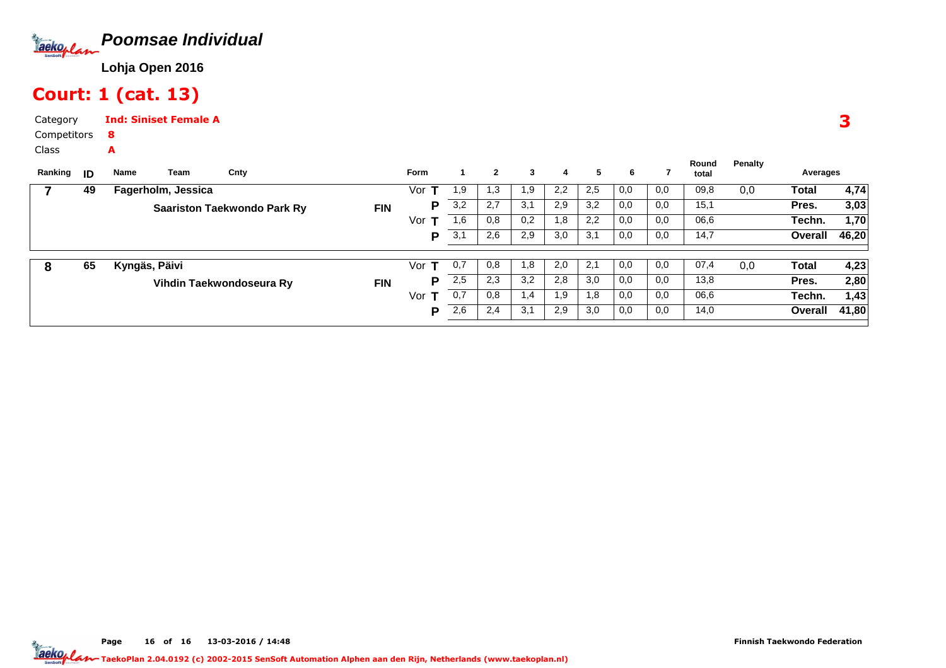

### Court: 1 (cat. 13)

A

Category CompetitorsInd: Siniset Female A8

Class

| Ranking | ID | Name          | Team               | Cnty                               |            | <b>Form</b> |     | $\mathbf{2}$ | 3   | 4   | 5   | 6   |     | Round<br>total | Penalty | Averages |       |
|---------|----|---------------|--------------------|------------------------------------|------------|-------------|-----|--------------|-----|-----|-----|-----|-----|----------------|---------|----------|-------|
|         | 49 |               | Fagerholm, Jessica |                                    |            | Vor         | 1,9 | د. ا         | 1,9 | 2,2 | 2,5 | 0,0 | 0,0 | 09,8           | 0,0     | Total    | 4,74  |
|         |    |               |                    | <b>Saariston Taekwondo Park Ry</b> | <b>FIN</b> | P           | 3,2 | 2,7          | 3,1 | 2,9 | 3,2 | 0,0 | 0,0 | 15,1           |         | Pres.    | 3,03  |
|         |    |               |                    |                                    |            | Vor         | 1,6 | 0,8          | 0,2 | 1,8 | 2,2 | 0,0 | 0,0 | 06,6           |         | Techn.   | 1,70  |
|         |    |               |                    |                                    |            | P           | 3,1 | 2,6          | 2,9 | 3,0 | 3,1 | 0,0 | 0,0 | 14,7           |         | Overall  | 46,20 |
|         |    |               |                    |                                    |            |             |     |              |     |     |     |     |     |                |         |          |       |
| 8       | 65 | Kyngäs, Päivi |                    |                                    |            | Vor         | 0,7 | 0,8          | 1,8 | 2,0 | 2,1 | 0,0 | 0,0 | 07,4           | 0,0     | Total    | 4,23  |
|         |    |               |                    | Vihdin Taekwondoseura Ry           | <b>FIN</b> | P           | 2,5 | 2,3          | 3,2 | 2,8 | 3,0 | 0,0 | 0,0 | 13,8           |         | Pres.    | 2,80  |
|         |    |               |                    |                                    |            | Vor         | 0,7 | 0,8          | 1,4 | 1,9 | 1,8 | 0,0 | 0,0 | 06,6           |         | Techn.   | 1,43  |
|         |    |               |                    |                                    |            | P           | 2,6 | 2,4          | 3,1 | 2,9 | 3,0 | 0,0 | 0,0 | 14,0           |         | Overall  | 41,80 |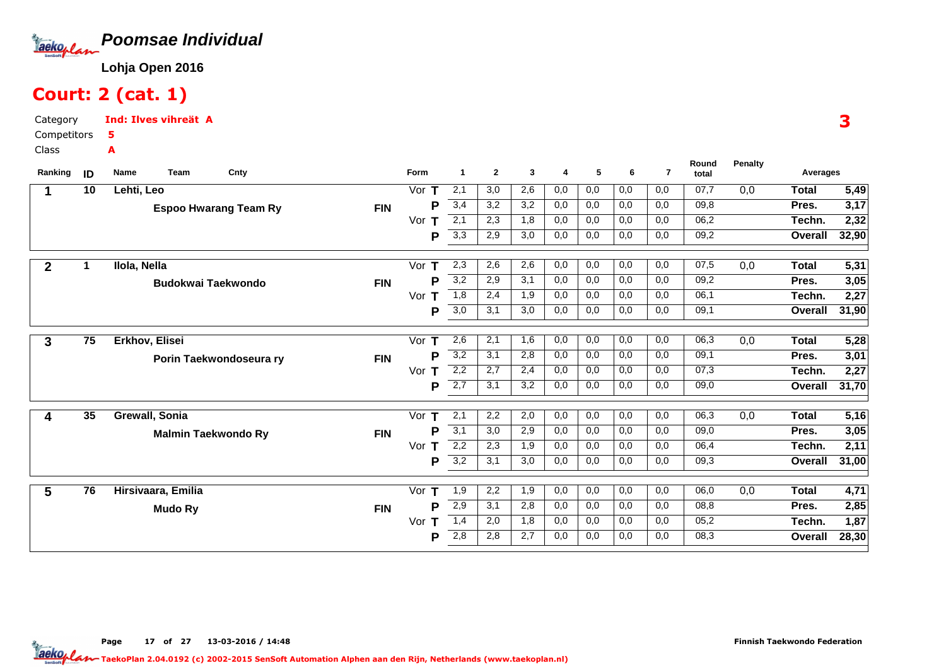

### Court: 2 (cat. 1)

Category CompetitorsInd: Ilves vihreät A5A

Class

| Ranking      | ID | Cnty<br>Name<br>Team         |            | Form     | $\blacktriangleleft$ | $\mathbf{2}$ | 3   | $\overline{4}$ | 5   | 6   | $\overline{7}$ | Round<br>total | Penalty | Averages     |       |
|--------------|----|------------------------------|------------|----------|----------------------|--------------|-----|----------------|-----|-----|----------------|----------------|---------|--------------|-------|
|              | 10 | Lehti, Leo                   |            | Vor $T$  | 2,1                  | 3,0          | 2,6 | 0,0            | 0,0 | 0,0 | 0,0            | 07,7           | 0,0     | <b>Total</b> | 5,49  |
|              |    | <b>Espoo Hwarang Team Ry</b> | <b>FIN</b> | Р        | 3,4                  | 3,2          | 3,2 | 0,0            | 0,0 | 0,0 | 0,0            | 09,8           |         | Pres.        | 3,17  |
|              |    |                              |            | Vor<br>т | $\overline{2,1}$     | 2,3          | 1,8 | 0,0            | 0,0 | 0,0 | 0,0            | 06,2           |         | Techn.       | 2,32  |
|              |    |                              |            | Р        | 3,3                  | 2,9          | 3,0 | 0,0            | 0,0 | 0,0 | 0,0            | 09,2           |         | Overall      | 32,90 |
| $\mathbf{2}$ | 1  | Ilola, Nella                 |            | Vor<br>T | 2,3                  | 2,6          | 2,6 | 0,0            | 0,0 | 0,0 | 0,0            | 07,5           | 0,0     | <b>Total</b> | 5,31  |
|              |    | <b>Budokwai Taekwondo</b>    | <b>FIN</b> | Р        | 3,2                  | 2,9          | 3,1 | 0,0            | 0,0 | 0,0 | 0,0            | 09,2           |         | Pres.        | 3,05  |
|              |    |                              |            | Vor<br>т | $\overline{1,8}$     | 2,4          | 1,9 | 0,0            | 0,0 | 0,0 | 0,0            | 06,1           |         | Techn.       | 2,27  |
|              |    |                              |            | Р        | 3,0                  | 3,1          | 3,0 | 0,0            | 0,0 | 0,0 | 0,0            | 09,1           |         | Overall      | 31,90 |
| $\mathbf{3}$ | 75 | Erkhov, Elisei               |            | Vor<br>т | 2,6                  | 2,1          | 1,6 | 0,0            | 0,0 | 0,0 | 0,0            | 06,3           | 0,0     | <b>Total</b> | 5,28  |
|              |    | Porin Taekwondoseura ry      | <b>FIN</b> | Р        | $\overline{3,2}$     | 3,1          | 2,8 | 0,0            | 0,0 | 0,0 | 0,0            | 09,1           |         | Pres.        | 3,01  |
|              |    |                              |            | Т<br>Vor | $\overline{2,2}$     | 2,7          | 2,4 | 0,0            | 0,0 | 0,0 | 0,0            | 07,3           |         | Techn.       | 2,27  |
|              |    |                              |            | P        | $\overline{2,7}$     | 3,1          | 3,2 | 0,0            | 0,0 | 0,0 | 0,0            | 09,0           |         | Overall      | 31,70 |
| 4            | 35 | Grewall, Sonia               |            | Vor<br>т | 2,1                  | 2,2          | 2,0 | 0,0            | 0,0 | 0,0 | 0,0            | 06,3           | 0,0     | <b>Total</b> | 5,16  |
|              |    | <b>Malmin Taekwondo Ry</b>   | <b>FIN</b> | Р        | 3,1                  | 3,0          | 2,9 | 0,0            | 0,0 | 0,0 | 0,0            | 09,0           |         | Pres.        | 3,05  |
|              |    |                              |            | Vor<br>т | 2,2                  | 2,3          | 1,9 | 0,0            | 0,0 | 0,0 | 0,0            | 06,4           |         | Techn.       | 2,11  |
|              |    |                              |            | Р        | $\overline{3,2}$     | 3,1          | 3,0 | 0,0            | 0,0 | 0,0 | 0,0            | 09,3           |         | Overall      | 31,00 |
| 5            | 76 | Hirsivaara, Emilia           |            | Vor<br>Т | 1,9                  | 2,2          | 1,9 | 0,0            | 0,0 | 0,0 | 0,0            | 06,0           | 0,0     | <b>Total</b> | 4,71  |
|              |    | <b>Mudo Ry</b>               | <b>FIN</b> | P        | 2,9                  | 3,1          | 2,8 | 0,0            | 0,0 | 0,0 | 0,0            | 08,8           |         | Pres.        | 2,85  |
|              |    |                              |            | Vor<br>т | 1,4                  | 2,0          | 1,8 | 0,0            | 0,0 | 0,0 | 0,0            | 05,2           |         | Techn.       | 1,87  |
|              |    |                              |            | Р        | 2,8                  | 2,8          | 2,7 | 0,0            | 0,0 | 0,0 | 0,0            | 08,3           |         | Overall      | 28,30 |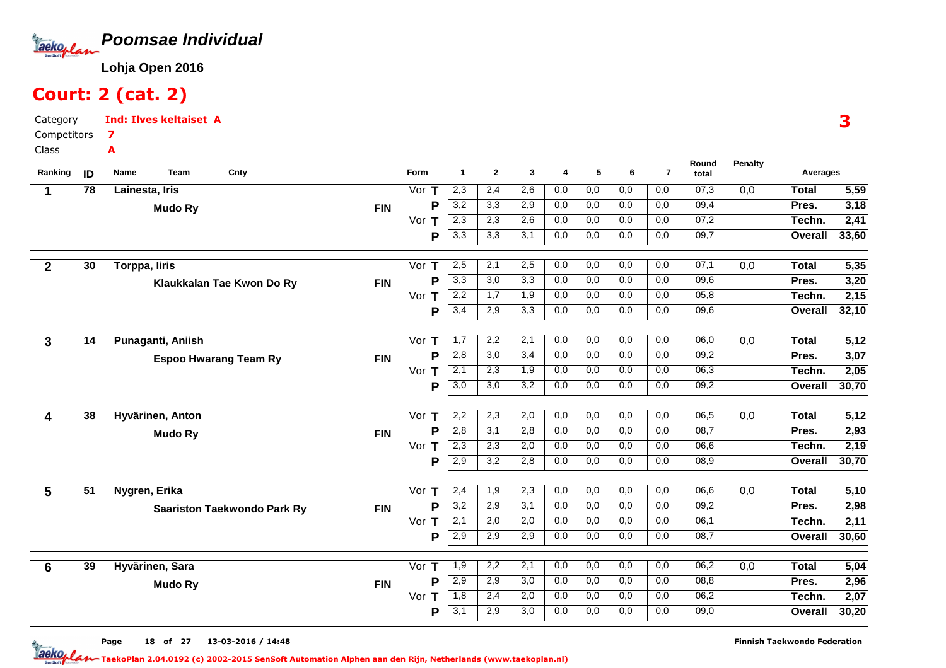

### Court: 2 (cat. 2)

A

Category CompetitorsInd: Ilves keltaiset A7

Class

| Ranking        | ID | Team<br>Cnty<br>Name               |            | Form     | $\blacktriangleleft$ | $\mathbf{2}$     | 3                | 4   | 5   | 6   | $\overline{7}$ | Round<br>total | <b>Penalty</b> | Averages       |       |
|----------------|----|------------------------------------|------------|----------|----------------------|------------------|------------------|-----|-----|-----|----------------|----------------|----------------|----------------|-------|
|                | 78 | Lainesta, Iris                     |            | Vor $T$  | 2,3                  | 2,4              | 2,6              | 0,0 | 0,0 | 0,0 | 0,0            | 07,3           | 0,0            | <b>Total</b>   | 5,59  |
|                |    | <b>Mudo Ry</b>                     | <b>FIN</b> | P        | 3,2                  | 3,3              | 2,9              | 0,0 | 0,0 | 0,0 | 0,0            | 09,4           |                | Pres.          | 3,18  |
|                |    |                                    |            | Vor<br>т | 2,3                  | 2,3              | 2,6              | 0,0 | 0,0 | 0,0 | 0,0            | 07,2           |                | Techn.         | 2,41  |
|                |    |                                    |            | P        | 3,3                  | 3,3              | 3,1              | 0,0 | 0,0 | 0,0 | 0,0            | 09,7           |                | Overall        | 33,60 |
|                |    |                                    |            |          |                      |                  |                  |     |     |     |                |                |                |                |       |
| $\overline{2}$ | 30 | Torppa, liris                      |            | Vor<br>T | 2,5                  | 2,1              | 2,5              | 0,0 | 0,0 | 0,0 | 0,0            | 07,1           | 0,0            | <b>Total</b>   | 5,35  |
|                |    | Klaukkalan Tae Kwon Do Ry          | <b>FIN</b> | P        | 3,3                  | 3,0              | 3,3              | 0,0 | 0,0 | 0,0 | 0,0            | 09,6           |                | Pres.          | 3,20  |
|                |    |                                    |            | Vor<br>т | 2,2                  | $\overline{1,7}$ | $\overline{1,9}$ | 0,0 | 0,0 | 0,0 | 0,0            | 05,8           |                | Techn.         | 2,15  |
|                |    |                                    |            | Þ        | 3,4                  | 2,9              | 3,3              | 0,0 | 0,0 | 0,0 | 0,0            | 09,6           |                | Overall        | 32,10 |
|                |    |                                    |            |          |                      |                  |                  |     |     |     |                |                |                |                |       |
| 3              | 14 | Punaganti, Aniish                  |            | Vor $T$  | 1,7                  | 2,2              | 2,1              | 0,0 | 0,0 | 0,0 | 0,0            | 06,0           | 0,0            | <b>Total</b>   | 5,12  |
|                |    | <b>Espoo Hwarang Team Ry</b>       | <b>FIN</b> | P        | 2,8                  | 3,0              | 3,4              | 0,0 | 0,0 | 0,0 | 0,0            | 09,2           |                | Pres.          | 3,07  |
|                |    |                                    |            | Vor $T$  | $\overline{2,1}$     | 2,3              | 1,9              | 0,0 | 0,0 | 0,0 | 0,0            | 06,3           |                | Techn.         | 2,05  |
|                |    |                                    |            | P        | 3,0                  | $\overline{3,0}$ | $\overline{3,2}$ | 0,0 | 0,0 | 0,0 | 0,0            | 09,2           |                | <b>Overall</b> | 30,70 |
| 4              | 38 | Hyvärinen, Anton                   |            | T<br>Vor | 2,2                  | 2,3              | 2,0              | 0,0 | 0,0 | 0,0 | 0,0            | 06,5           | 0,0            | <b>Total</b>   | 5,12  |
|                |    |                                    | <b>FIN</b> | P        | 2,8                  | 3,1              | 2,8              | 0,0 | 0,0 | 0,0 | 0,0            | 08,7           |                | Pres.          | 2,93  |
|                |    | <b>Mudo Ry</b>                     |            | Vor $T$  | 2,3                  | 2,3              | 2,0              | 0,0 | 0,0 | 0,0 | 0,0            | 06,6           |                | Techn.         | 2,19  |
|                |    |                                    |            | P        | 2,9                  | 3,2              | 2,8              | 0,0 | 0,0 | 0,0 | 0,0            | 08,9           |                | Overall        | 30,70 |
|                |    |                                    |            |          |                      |                  |                  |     |     |     |                |                |                |                |       |
| 5              | 51 | Nygren, Erika                      |            | Vor $T$  | 2,4                  | 1,9              | 2,3              | 0,0 | 0,0 | 0,0 | 0,0            | 06,6           | 0,0            | <b>Total</b>   | 5,10  |
|                |    | <b>Saariston Taekwondo Park Ry</b> | <b>FIN</b> | P        | 3,2                  | 2,9              | 3,1              | 0,0 | 0,0 | 0,0 | 0,0            | 09,2           |                | Pres.          | 2,98  |
|                |    |                                    |            | Vor $T$  | $\overline{2,1}$     | 2,0              | 2,0              | 0,0 | 0,0 | 0,0 | 0,0            | 06,1           |                | Techn.         | 2,11  |
|                |    |                                    |            | P        | $\overline{2,9}$     | 2,9              | 2,9              | 0,0 | 0,0 | 0,0 | 0,0            | 08,7           |                | Overall        | 30,60 |
|                |    |                                    |            |          |                      |                  |                  |     |     |     |                |                |                |                |       |
| 6              | 39 | Hyvärinen, Sara                    |            | Vor $T$  | 1,9                  | 2,2              | 2,1              | 0,0 | 0,0 | 0,0 | 0,0            | 06,2           | 0,0            | <b>Total</b>   | 5,04  |
|                |    | <b>Mudo Ry</b>                     | <b>FIN</b> | Р        | 2,9                  | 2,9              | 3,0              | 0,0 | 0,0 | 0,0 | 0,0            | 08,8           |                | Pres.          | 2,96  |
|                |    |                                    |            | Vor $T$  | 1,8                  | 2,4              | 2,0              | 0,0 | 0,0 | 0,0 | 0,0            | 06,2           |                | Techn.         | 2,07  |
|                |    |                                    |            | Р        | 3,1                  | 2,9              | 3,0              | 0,0 | 0,0 | 0,0 | 0,0            | 09,0           |                | Overall        | 30,20 |

Page 18 of 27 13-03-2016 / 14:48 18 of 27 13-03-2016 / 14:4

Finnish Taekwondo Federation

3

TaekoPlan 2.04.0192 (c) 2002-2015 SenSoft Automation Alphen aan den Rijn, Netherlands (www.taekoplan.nl)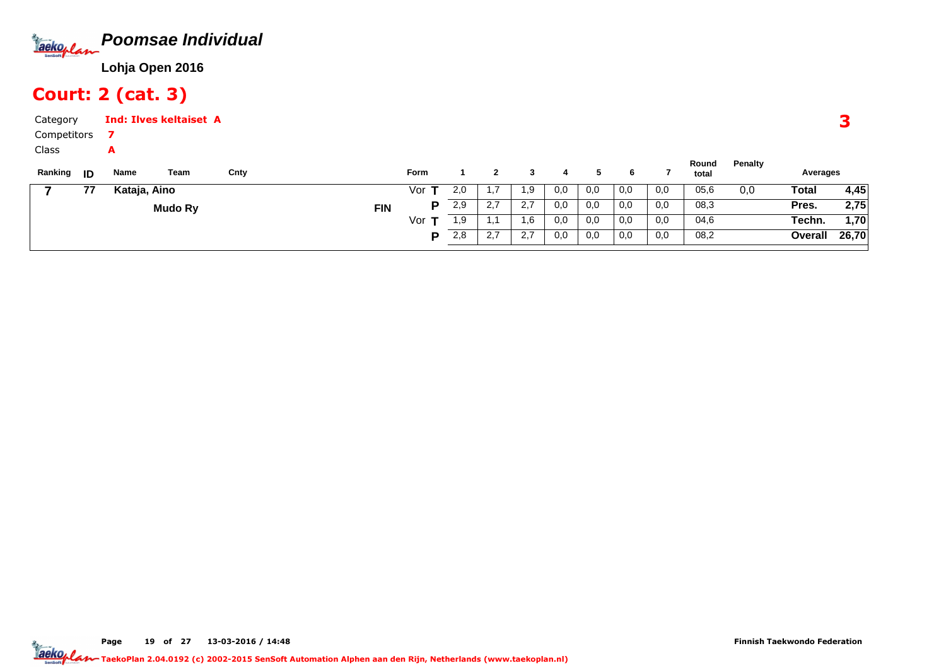

### Court: 2 (cat. 3)

A

Category CompetitorsInd: Ilves keltaiset A7

Class

| Ranking | ID | Name         | Team    | Cnty |            | Form |     |                  |     |     |     | O   |          | Round<br>total | Penalty | Averages     |       |
|---------|----|--------------|---------|------|------------|------|-----|------------------|-----|-----|-----|-----|----------|----------------|---------|--------------|-------|
|         | 77 | Kataja, Aino |         |      |            | Vor  | 2,0 |                  | 1.9 | 0,0 | 0,0 | 0,0 | $_{0,0}$ | 05,6           | 0,0     | <b>Total</b> | 4,45  |
|         |    |              | Mudo Ry |      | <b>FIN</b> |      | 2,9 | 27<br><u>.</u>   | 2,7 | 0.0 | 0,0 | 0,0 | 0,0      | 08,3           |         | Pres.        | 2,75  |
|         |    |              |         |      |            | Vor  | 1,9 |                  | 1.6 | 0,0 | 0,0 | 0,0 | 0,0      | 04,6           |         | Techn.       | ∫70,، |
|         |    |              |         |      |            |      | 2,8 | ົາ 7<br><u>.</u> | 2.7 | 0.0 | 0,0 | 0,0 | 0,0      | 08,2           |         | Overall      | 26,70 |
|         |    |              |         |      |            |      |     |                  |     |     |     |     |          |                |         |              |       |

3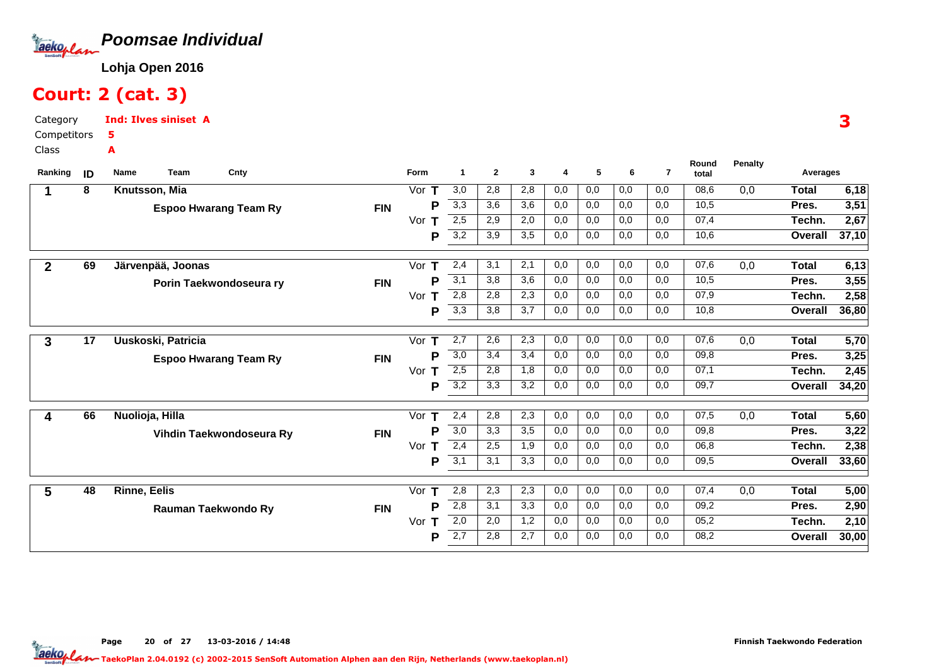

### Court: 2 (cat. 3)

Category CompetitorsClassInd: Ilves siniset A5A

| Ranking      | ID | Team<br>Cnty<br>Name         |            | Form     | -1               | $\mathbf{2}$ | 3   | 4   | 5   | 6   | $\overline{7}$ | Round<br>total | <b>Penalty</b> | Averages       |       |
|--------------|----|------------------------------|------------|----------|------------------|--------------|-----|-----|-----|-----|----------------|----------------|----------------|----------------|-------|
|              | 8  | Knutsson, Mia                |            | Vor<br>т | 3,0              | 2,8          | 2,8 | 0,0 | 0,0 | 0,0 | 0,0            | 08,6           | 0,0            | Total          | 6,18  |
|              |    | <b>Espoo Hwarang Team Ry</b> | <b>FIN</b> | P        | 3,3              | 3,6          | 3,6 | 0,0 | 0,0 | 0,0 | 0,0            | 10,5           |                | Pres.          | 3,51  |
|              |    |                              |            | Vor      | 2,5              | 2,9          | 2,0 | 0,0 | 0,0 | 0,0 | 0,0            | 07,4           |                | Techn.         | 2,67  |
|              |    |                              |            | P        | 3,2              | 3,9          | 3,5 | 0,0 | 0,0 | 0,0 | 0,0            | 10,6           |                | Overall        | 37,10 |
|              |    |                              |            |          |                  |              |     |     |     |     |                |                |                |                |       |
| $\mathbf{2}$ | 69 | Järvenpää, Joonas            |            | Vor $T$  | 2,4              | 3,1          | 2,1 | 0,0 | 0,0 | 0,0 | 0,0            | 07,6           | 0,0            | Total          | 6,13  |
|              |    | Porin Taekwondoseura ry      | <b>FIN</b> | P        | 3,1              | 3,8          | 3,6 | 0,0 | 0,0 | 0,0 | 0,0            | 10,5           |                | Pres.          | 3,55  |
|              |    |                              |            | Vor<br>т | 2,8              | 2,8          | 2,3 | 0,0 | 0,0 | 0,0 | 0,0            | 07,9           |                | Techn.         | 2,58  |
|              |    |                              |            | P        | 3,3              | 3,8          | 3,7 | 0,0 | 0,0 | 0,0 | 0,0            | 10,8           |                | Overall        | 36,80 |
| 3            | 17 | Uuskoski, Patricia           |            | Vor $T$  | 2,7              | 2,6          | 2,3 | 0,0 | 0,0 | 0,0 | 0,0            | 07,6           | 0,0            | Total          | 5,70  |
|              |    | <b>Espoo Hwarang Team Ry</b> | <b>FIN</b> | Р        | 3,0              | 3,4          | 3,4 | 0,0 | 0,0 | 0,0 | 0,0            | 09,8           |                | Pres.          | 3,25  |
|              |    |                              |            | Vor $T$  | 2,5              | 2,8          | 1,8 | 0,0 | 0,0 | 0,0 | 0,0            | 07,1           |                | Techn.         | 2,45  |
|              |    |                              |            | P        | $\overline{3,2}$ | 3,3          | 3,2 | 0,0 | 0,0 | 0,0 | 0,0            | 09,7           |                | Overall        | 34,20 |
|              |    |                              |            |          |                  |              |     |     |     |     |                |                |                |                |       |
| 4            | 66 | Nuolioja, Hilla              |            | Т<br>Vor | 2,4              | 2,8          | 2,3 | 0,0 | 0,0 | 0,0 | 0,0            | 07,5           | 0,0            | Total          | 5,60  |
|              |    | Vihdin Taekwondoseura Ry     | <b>FIN</b> | P        | 3,0              | 3,3          | 3,5 | 0,0 | 0,0 | 0,0 | 0,0            | 09,8           |                | Pres.          | 3,22  |
|              |    |                              |            | Vor<br>т | 2,4              | 2,5          | 1,9 | 0,0 | 0,0 | 0,0 | 0,0            | 06,8           |                | Techn.         | 2,38  |
|              |    |                              |            | P        | 3,1              | 3,1          | 3,3 | 0,0 | 0,0 | 0,0 | 0,0            | 09,5           |                | <b>Overall</b> | 33,60 |
|              |    |                              |            |          |                  |              |     |     |     |     |                |                |                |                |       |
| 5            | 48 | <b>Rinne, Eelis</b>          |            | Vor<br>T | 2,8              | 2,3          | 2,3 | 0,0 | 0,0 | 0,0 | 0,0            | 07,4           | 0,0            | Total          | 5,00  |
|              |    | Rauman Taekwondo Ry          | <b>FIN</b> | P        | 2,8              | 3,1          | 3,3 | 0,0 | 0,0 | 0,0 | 0,0            | 09,2           |                | Pres.          | 2,90  |
|              |    |                              |            | Vor<br>т | 2,0              | 2,0          | 1,2 | 0,0 | 0,0 | 0,0 | 0,0            | 05,2           |                | Techn.         | 2,10  |
|              |    |                              |            | Р        | 2,7              | 2,8          | 2,7 | 0,0 | 0,0 | 0,0 | 0,0            | 08,2           |                | Overall        | 30,00 |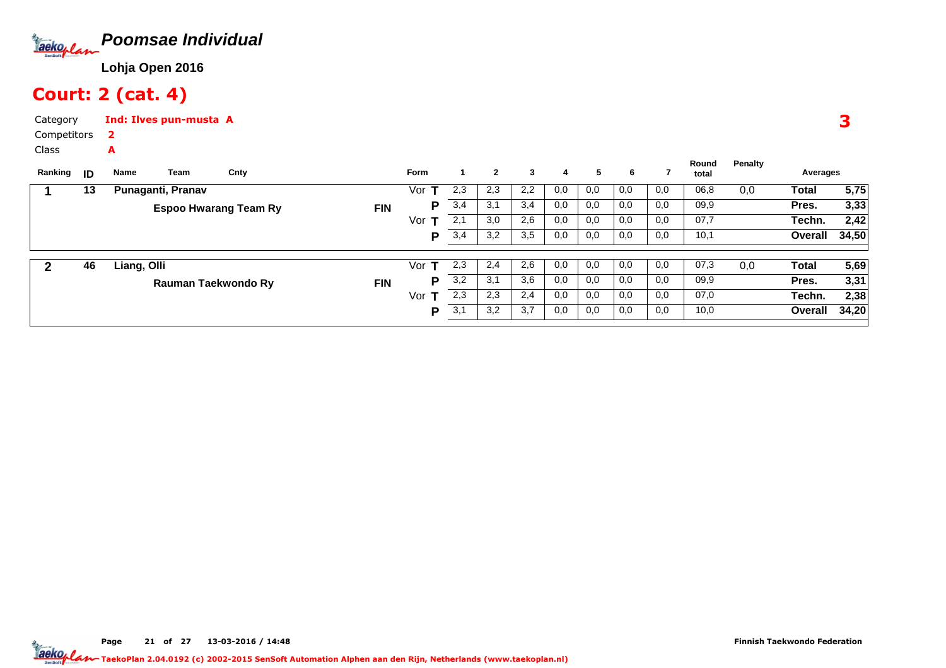

### Court: 2 (cat. 4)

A

Category CompetitorsInd: Ilves pun-musta A2

Class

| Ranking | ID | Team<br>Name      | Cnty                         |            | <b>Form</b> |     | $\mathbf{2}$ | 3   | 4   | 5   | 6   |     | Round<br>total | Penalty | Averages |       |
|---------|----|-------------------|------------------------------|------------|-------------|-----|--------------|-----|-----|-----|-----|-----|----------------|---------|----------|-------|
|         | 13 | Punaganti, Pranav |                              |            | Vor         | 2,3 | 2,3          | 2,2 | 0,0 | 0,0 | 0,0 | 0,0 | 06,8           | 0,0     | Total    | 5,75  |
|         |    |                   | <b>Espoo Hwarang Team Ry</b> | <b>FIN</b> | P           | 3,4 | 3,1          | 3,4 | 0,0 | 0,0 | 0,0 | 0,0 | 09,9           |         | Pres.    | 3,33  |
|         |    |                   |                              |            | Vor         | 2,1 | 3,0          | 2,6 | 0,0 | 0,0 | 0,0 | 0,0 | 07,7           |         | Techn.   | 2,42  |
|         |    |                   |                              |            | P           | 3,4 | 3,2          | 3,5 | 0,0 | 0,0 | 0,0 | 0,0 | 10,1           |         | Overall  | 34,50 |
|         |    |                   |                              |            |             |     |              |     |     |     |     |     |                |         |          |       |
|         | 46 | Liang, Olli       |                              |            | Vor         | 2,3 | 2,4          | 2,6 | 0.0 | 0,0 | 0.0 | 0,0 | 07,3           | 0,0     | Total    | 5,69  |
|         |    |                   | Rauman Taekwondo Ry          | <b>FIN</b> | P           | 3,2 | 3,1          | 3,6 | 0,0 | 0,0 | 0,0 | 0,0 | 09,9           |         | Pres.    | 3,31  |
|         |    |                   |                              |            | Vor         | 2,3 | 2,3          | 2,4 | 0,0 | 0,0 | 0,0 | 0,0 | 07,0           |         | Techn.   | 2,38  |
|         |    |                   |                              |            | P           | 3,1 | 3,2          | 3,7 | 0,0 | 0,0 | 0,0 | 0,0 | 10,0           |         | Overall  | 34,20 |

3

Page 21 of 27 13-03-2016 / 14:48 21 of 27 13-03-2016 / 14:4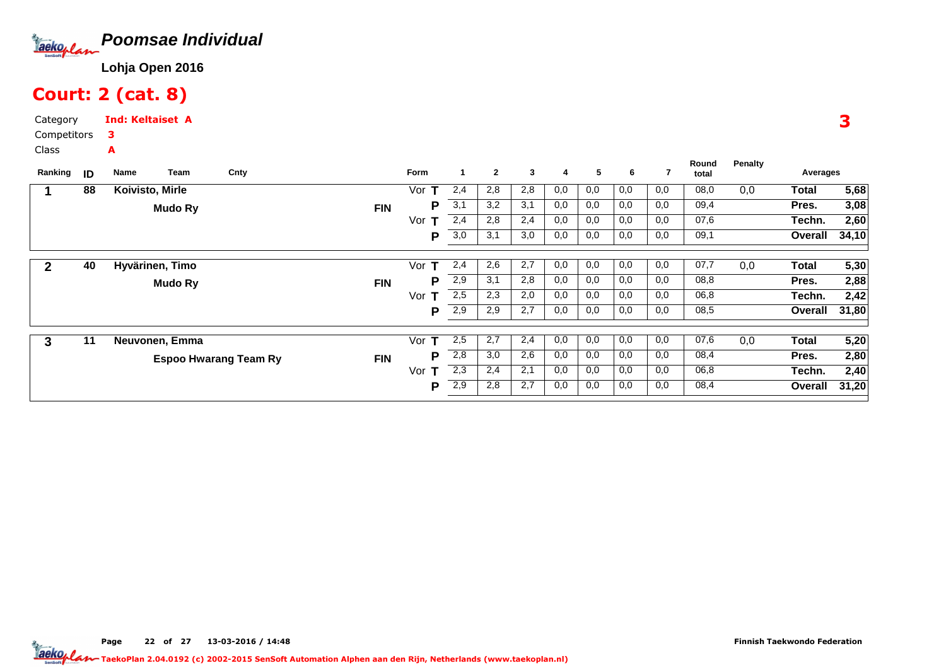

### Court: 2 (cat. 8)

Category CompetitorsInd: Keltaiset A3A

Class

| Ranking      | ID | Name            | Team | Cnty                                       | Form     |     | $\mathbf{2}$ | 3   | 4   | 5   | 6   |     | Round<br>total | <b>Penalty</b> | Averages |       |
|--------------|----|-----------------|------|--------------------------------------------|----------|-----|--------------|-----|-----|-----|-----|-----|----------------|----------------|----------|-------|
|              | 88 | Koivisto, Mirle |      |                                            | т<br>Vor | 2,4 | 2,8          | 2,8 | 0,0 | 0,0 | 0,0 | 0,0 | 08,0           | 0,0            | Total    | 5,68  |
|              |    | <b>Mudo Ry</b>  |      | <b>FIN</b>                                 | P        | 3,1 | 3,2          | 3,1 | 0,0 | 0,0 | 0,0 | 0,0 | 09,4           |                | Pres.    | 3,08  |
|              |    |                 |      |                                            | Vor      | 2,4 | 2,8          | 2,4 | 0,0 | 0,0 | 0,0 | 0,0 | 07,6           |                | Techn.   | 2,60  |
|              |    |                 |      |                                            | P        | 3,0 | 3,1          | 3,0 | 0,0 | 0,0 | 0,0 | 0,0 | 09,1           |                | Overall  | 34,10 |
| $\mathbf{2}$ | 40 | Hyvärinen, Timo |      |                                            | Vor<br>т | 2,4 | 2,6          | 2,7 | 0,0 | 0,0 | 0,0 | 0,0 | 07,7           | 0,0            | Total    | 5,30  |
|              |    |                 |      |                                            | D        |     |              |     |     |     |     |     |                |                |          |       |
|              |    | <b>Mudo Ry</b>  |      | <b>FIN</b>                                 |          | 2,9 | 3,1          | 2,8 | 0,0 | 0,0 | 0,0 | 0,0 | 08,8           |                | Pres.    | 2,88  |
|              |    |                 |      |                                            | Vor<br>т | 2,5 | 2,3          | 2,0 | 0,0 | 0,0 | 0,0 | 0,0 | 06,8           |                | Techn.   | 2,42  |
|              |    |                 |      |                                            | P        | 2,9 | 2,9          | 2,7 | 0,0 | 0,0 | 0,0 | 0,0 | 08,5           |                | Overall  | 31,80 |
|              |    |                 |      |                                            |          |     |              |     |     |     |     |     |                |                |          |       |
| 3            | 11 | Neuvonen, Emma  |      |                                            | Vor<br>т | 2,5 | 2,7          | 2,4 | 0,0 | 0,0 | 0,0 | 0,0 | 07,6           | 0,0            | Total    | 5,20  |
|              |    |                 |      | <b>FIN</b><br><b>Espoo Hwarang Team Ry</b> | D        | 2,8 | 3,0          | 2,6 | 0,0 | 0,0 | 0,0 | 0,0 | 08,4           |                | Pres.    | 2,80  |
|              |    |                 |      |                                            | Vor<br>т | 2,3 | 2,4          | 2,1 | 0,0 | 0,0 | 0,0 | 0,0 | 06,8           |                | Techn.   | 2,40  |
|              |    |                 |      |                                            | P        | 2,9 | 2,8          | 2,7 | 0,0 | 0,0 | 0,0 | 0,0 | 08,4           |                | Overall  | 31,20 |

3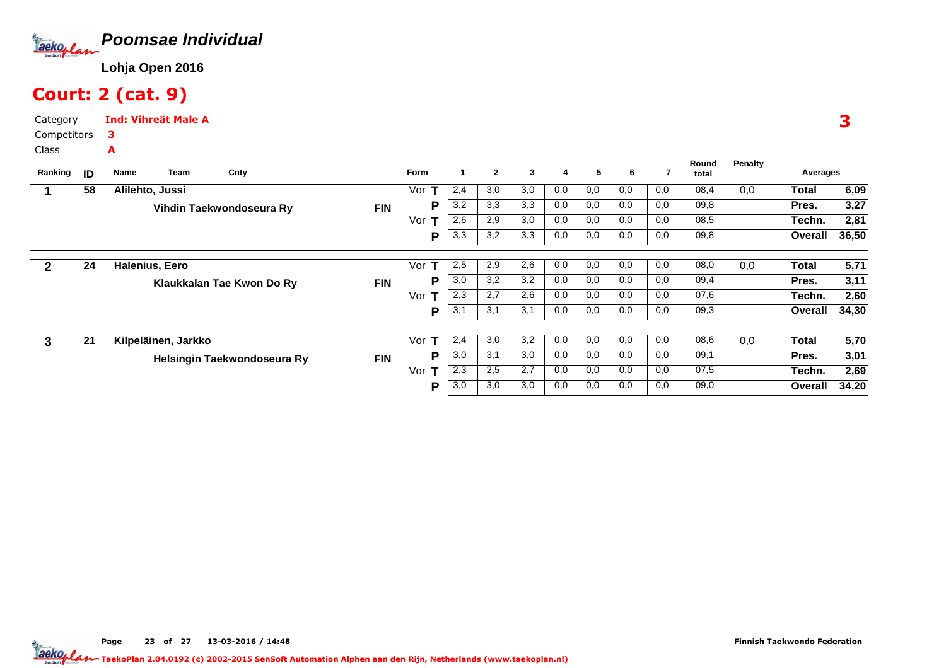

# Court: 2 (cat. 9)

A

Category CompetitorsInd: Vihreät Male A3

Class

| Ranking | ID | Cnty<br>Team<br>Name        |            | <b>Form</b> |     | $\mathbf{2}$ | 3   | 4   | 5   | 6   | 7   | Round<br>total | Penalty | Averages |       |
|---------|----|-----------------------------|------------|-------------|-----|--------------|-----|-----|-----|-----|-----|----------------|---------|----------|-------|
|         | 58 | Alilehto, Jussi             |            | Vor<br>т    | 2,4 | 3,0          | 3,0 | 0,0 | 0,0 | 0,0 | 0,0 | 08,4           | 0,0     | Total    | 6,09  |
|         |    | Vihdin Taekwondoseura Ry    | <b>FIN</b> | P           | 3,2 | 3,3          | 3,3 | 0,0 | 0,0 | 0,0 | 0,0 | 09,8           |         | Pres.    | 3,27  |
|         |    |                             |            | Vor         | 2,6 | 2,9          | 3,0 | 0,0 | 0,0 | 0,0 | 0,0 | 08,5           |         | Techn.   | 2,81  |
|         |    |                             |            | Р           | 3,3 | 3,2          | 3,3 | 0,0 | 0,0 | 0,0 | 0,0 | 09,8           |         | Overall  | 36,50 |
|         |    |                             |            |             |     |              |     |     |     |     |     |                |         |          |       |
| 2       | 24 | Halenius, Eero              |            | Vor<br>т    | 2,5 | 2,9          | 2,6 | 0,0 | 0,0 | 0,0 | 0,0 | 08,0           | 0,0     | Total    | 5,71  |
|         |    | Klaukkalan Tae Kwon Do Ry   | <b>FIN</b> | P           | 3,0 | 3,2          | 3,2 | 0,0 | 0,0 | 0,0 | 0,0 | 09,4           |         | Pres.    | 3,11  |
|         |    |                             |            | Vor<br>т    | 2,3 | 2,7          | 2,6 | 0,0 | 0,0 | 0,0 | 0,0 | 07,6           |         | Techn.   | 2,60  |
|         |    |                             |            | P           | 3,1 | 3,1          | 3,1 | 0,0 | 0,0 | 0,0 | 0,0 | 09,3           |         | Overall  | 34,30 |
|         |    |                             |            |             |     |              |     |     |     |     |     |                |         |          |       |
| 3       | 21 | Kilpeläinen, Jarkko         |            | т<br>Vor    | 2,4 | 3,0          | 3,2 | 0,0 | 0,0 | 0,0 | 0,0 | 08,6           | 0,0     | Total    | 5,70  |
|         |    | Helsingin Taekwondoseura Ry | <b>FIN</b> | Р           | 3,0 | 3,1          | 3,0 | 0,0 | 0,0 | 0,0 | 0,0 | 09,1           |         | Pres.    | 3,01  |
|         |    |                             |            | Vor<br>т    | 2,3 | 2,5          | 2,7 | 0,0 | 0,0 | 0,0 | 0,0 | 07,5           |         | Techn.   | 2,69  |
|         |    |                             |            | P           | 3,0 | 3,0          | 3,0 | 0,0 | 0,0 | 0,0 | 0,0 | 09,0           |         | Overall  | 34,20 |
|         |    |                             |            |             |     |              |     |     |     |     |     |                |         |          |       |

3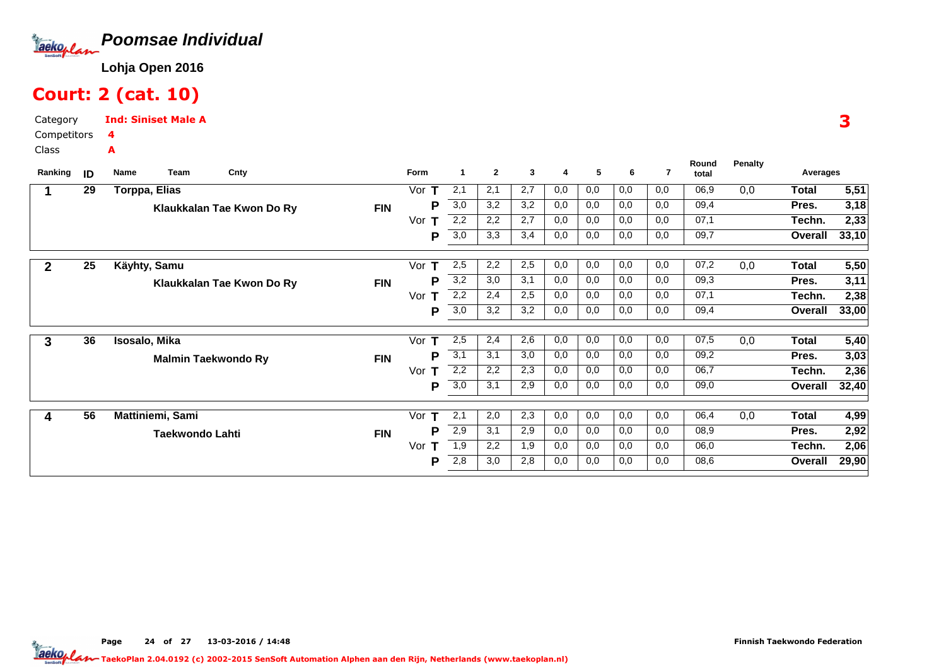

### Court: 2 (cat. 10)

Category CompetitorsInd: Siniset Male A4A

Class

| Ranking      | ID | Name | Team                   | Cnty                       |            | Form     | $\mathbf 1$      | $\mathbf{2}$ | 3   | 4   | 5   | 6   | 7   | Round<br>total | <b>Penalty</b> | Averages     |       |
|--------------|----|------|------------------------|----------------------------|------------|----------|------------------|--------------|-----|-----|-----|-----|-----|----------------|----------------|--------------|-------|
|              | 29 |      | <b>Torppa, Elias</b>   |                            |            | Vor      | 2,1              | 2,1          | 2,7 | 0,0 | 0,0 | 0,0 | 0,0 | 06,9           | 0,0            | <b>Total</b> | 5,51  |
|              |    |      |                        | Klaukkalan Tae Kwon Do Ry  | <b>FIN</b> | P        | 3,0              | 3,2          | 3,2 | 0,0 | 0,0 | 0,0 | 0,0 | 09,4           |                | Pres.        | 3,18  |
|              |    |      |                        |                            |            | Vor<br>т | 2,2              | 2,2          | 2,7 | 0,0 | 0,0 | 0,0 | 0,0 | 07,1           |                | Techn.       | 2,33  |
|              |    |      |                        |                            |            | P        | 3,0              | 3,3          | 3,4 | 0,0 | 0,0 | 0,0 | 0,0 | 09,7           |                | Overall      | 33,10 |
| $\mathbf{2}$ | 25 |      | Käyhty, Samu           |                            |            | Vor      | 2,5              | 2,2          | 2,5 | 0,0 | 0,0 | 0,0 | 0,0 | 07,2           | 0,0            | Total        | 5,50  |
|              |    |      |                        | Klaukkalan Tae Kwon Do Ry  | <b>FIN</b> | P        | 3,2              | 3,0          | 3,1 | 0,0 | 0,0 | 0,0 | 0,0 | 09,3           |                | Pres.        | 3,11  |
|              |    |      |                        |                            |            | Vor<br>т | 2,2              | 2,4          | 2,5 | 0,0 | 0,0 | 0,0 | 0,0 | 07,1           |                | Techn.       | 2,38  |
|              |    |      |                        |                            |            | Р        | 3,0              | 3,2          | 3,2 | 0,0 | 0,0 | 0,0 | 0,0 | 09,4           |                | Overall      | 33,00 |
| 3            | 36 |      | Isosalo, Mika          |                            |            | Vor      | 2,5              | 2,4          | 2,6 | 0,0 | 0,0 | 0,0 | 0,0 | 07,5           | 0,0            | <b>Total</b> | 5,40  |
|              |    |      |                        | <b>Malmin Taekwondo Ry</b> | <b>FIN</b> | P        | 3,1              | 3,1          | 3,0 | 0,0 | 0,0 | 0,0 | 0,0 | 09,2           |                | Pres.        | 3,03  |
|              |    |      |                        |                            |            | Vor<br>т | 2,2              | 2,2          | 2,3 | 0,0 | 0,0 | 0,0 | 0,0 | 06,7           |                | Techn.       | 2,36  |
|              |    |      |                        |                            |            | Р        | $\overline{3,0}$ | 3,1          | 2,9 | 0,0 | 0,0 | 0,0 | 0,0 | 09,0           |                | Overall      | 32,40 |
| 4            | 56 |      | Mattiniemi, Sami       |                            |            | Vor      | 2,1              | 2,0          | 2,3 | 0,0 | 0,0 | 0,0 | 0,0 | 06,4           | 0,0            | <b>Total</b> | 4,99  |
|              |    |      | <b>Taekwondo Lahti</b> |                            | <b>FIN</b> | P        | 2,9              | 3,1          | 2,9 | 0,0 | 0,0 | 0,0 | 0,0 | 08,9           |                | Pres.        | 2,92  |
|              |    |      |                        |                            |            | Vor      | 1,9              | 2,2          | 1,9 | 0,0 | 0,0 | 0,0 | 0,0 | 06,0           |                | Techn.       | 2,06  |
|              |    |      |                        |                            |            | Р        | 2,8              | 3,0          | 2,8 | 0,0 | 0,0 | 0,0 | 0,0 | 08,6           |                | Overall      | 29,90 |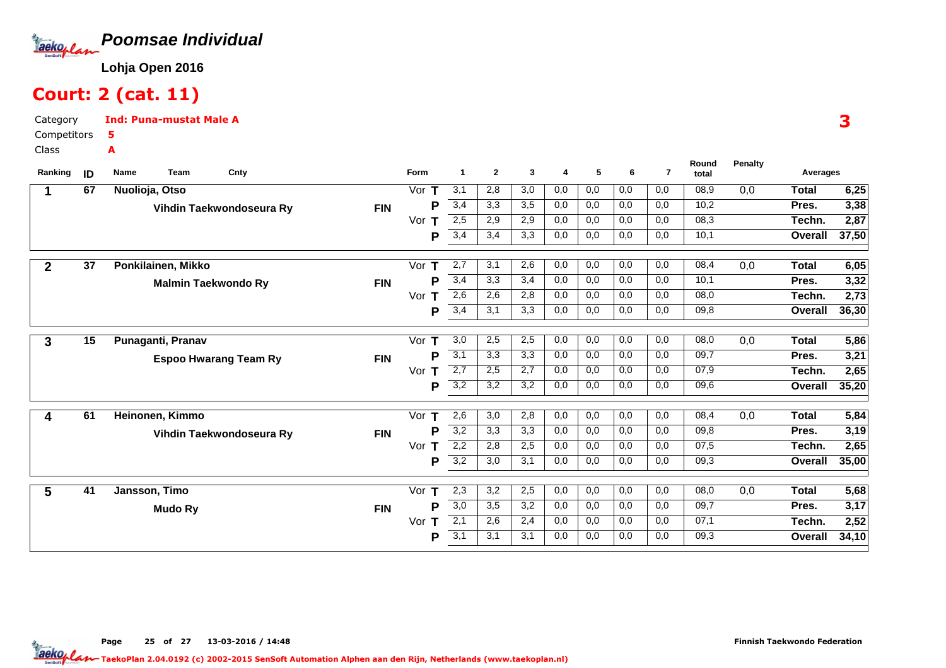

### Court: 2 (cat. 11)

A

Category CompetitorsInd: Puna-mustat Male A5

Class

| Ranking      | ID | Name<br><b>Team</b><br>Cnty  |            | Form     | 1                | $\mathbf{2}$ | 3   | 4   | 5   | 6   | $\overline{7}$ | Round<br>total | <b>Penalty</b> | Averages       |       |
|--------------|----|------------------------------|------------|----------|------------------|--------------|-----|-----|-----|-----|----------------|----------------|----------------|----------------|-------|
|              | 67 | Nuolioja, Otso               |            | Vor      | 3,1              | 2,8          | 3,0 | 0,0 | 0,0 | 0,0 | 0,0            | 08,9           | 0,0            | <b>Total</b>   | 6,25  |
|              |    | Vihdin Taekwondoseura Ry     | <b>FIN</b> | P        | 3,4              | 3,3          | 3,5 | 0,0 | 0,0 | 0,0 | 0,0            | 10,2           |                | Pres.          | 3,38  |
|              |    |                              |            | Vor      | 2,5              | 2,9          | 2,9 | 0,0 | 0,0 | 0,0 | 0,0            | 08,3           |                | Techn.         | 2,87  |
|              |    |                              |            | P        | 3,4              | 3,4          | 3,3 | 0,0 | 0,0 | 0,0 | 0,0            | 10,1           |                | Overall        | 37,50 |
| $\mathbf{2}$ | 37 | Ponkilainen, Mikko           |            | Vor<br>т | 2,7              | 3,1          | 2,6 | 0,0 | 0,0 | 0,0 | 0,0            | 08,4           | 0,0            | <b>Total</b>   | 6,05  |
|              |    | <b>Malmin Taekwondo Ry</b>   | <b>FIN</b> | P        | 3,4              | 3,3          | 3,4 | 0,0 | 0,0 | 0,0 | 0,0            | 10,1           |                | Pres.          | 3,32  |
|              |    |                              |            | Vor<br>т | 2,6              | 2,6          | 2,8 | 0,0 | 0,0 | 0,0 | 0,0            | 08,0           |                | Techn.         | 2,73  |
|              |    |                              |            | P        | 3,4              | 3,1          | 3,3 | 0,0 | 0,0 | 0,0 | 0,0            | 09,8           |                | Overall        | 36,30 |
|              |    |                              |            |          |                  |              |     |     |     |     |                |                |                |                |       |
| 3            | 15 | Punaganti, Pranav            |            | Vor<br>т | 3,0              | 2,5          | 2,5 | 0,0 | 0,0 | 0,0 | 0,0            | 08,0           | 0,0            | <b>Total</b>   | 5,86  |
|              |    | <b>Espoo Hwarang Team Ry</b> | <b>FIN</b> | P        | 3,1              | 3,3          | 3,3 | 0,0 | 0,0 | 0,0 | 0,0            | 09,7           |                | Pres.          | 3,21  |
|              |    |                              |            | Vor<br>Т | 2,7              | 2,5          | 2,7 | 0,0 | 0,0 | 0,0 | 0,0            | 07,9           |                | Techn.         | 2,65  |
|              |    |                              |            | P        | 3,2              | 3,2          | 3,2 | 0,0 | 0,0 | 0,0 | 0,0            | 09,6           |                | Overall        | 35,20 |
| 4            | 61 | Heinonen, Kimmo              |            | Vor<br>т | 2,6              | 3,0          | 2,8 | 0,0 | 0,0 | 0,0 | 0,0            | 08,4           | 0,0            | Total          | 5,84  |
|              |    | Vihdin Taekwondoseura Ry     | <b>FIN</b> | P        | 3,2              | 3,3          | 3,3 | 0,0 | 0,0 | 0,0 | 0,0            | 09,8           |                | Pres.          | 3,19  |
|              |    |                              |            | Vor<br>т | 2,2              | 2,8          | 2,5 | 0,0 | 0,0 | 0,0 | 0,0            | 07,5           |                | Techn.         | 2,65  |
|              |    |                              |            | P        | $\overline{3,2}$ | 3,0          | 3,1 | 0,0 | 0,0 | 0,0 | 0,0            | 09,3           |                | <b>Overall</b> | 35,00 |
|              |    |                              |            |          |                  |              |     |     |     |     |                |                |                |                |       |
| 5            | 41 | Jansson, Timo                |            | Vor<br>т | 2,3              | 3,2          | 2,5 | 0,0 | 0,0 | 0,0 | 0,0            | 08,0           | 0,0            | Total          | 5,68  |
|              |    | <b>Mudo Ry</b>               | <b>FIN</b> | P        | $\overline{3,0}$ | 3,5          | 3,2 | 0,0 | 0,0 | 0,0 | 0,0            | 09,7           |                | Pres.          | 3,17  |
|              |    |                              |            | Vor<br>т | 2,1              | 2,6          | 2,4 | 0,0 | 0,0 | 0,0 | 0,0            | 07,1           |                | Techn.         | 2,52  |
|              |    |                              |            | P        | 3,1              | 3,1          | 3,1 | 0,0 | 0,0 | 0,0 | 0,0            | 09,3           |                | Overall        | 34,10 |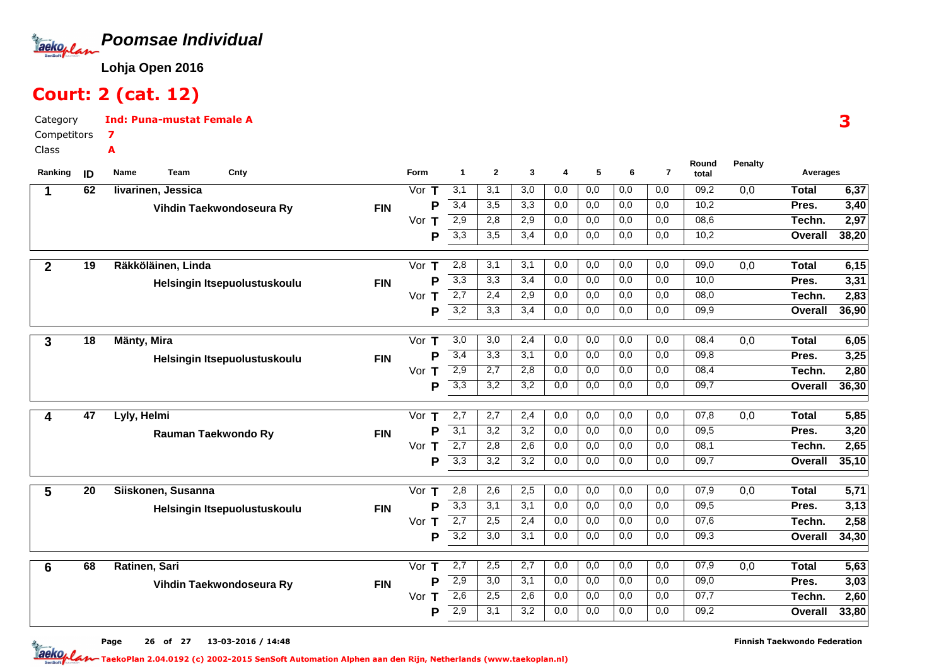

### Court: 2 (cat. 12)

7A

CategoryInd: Puna-mustat Female A

Competitors

Class

| Ranking        | ID              | Team<br>Cnty<br>Name         |            | <b>Form</b>                             | $\mathbf{1}$     | $\mathbf{2}$ | 3   | 4   | 5   | 6   | $\overline{7}$ | Round<br>total | <b>Penalty</b> | Averages     |              |
|----------------|-----------------|------------------------------|------------|-----------------------------------------|------------------|--------------|-----|-----|-----|-----|----------------|----------------|----------------|--------------|--------------|
| 1              | 62              | livarinen, Jessica           |            | Vor $T$                                 | 3,1              | 3,1          | 3,0 | 0,0 | 0,0 | 0,0 | 0,0            | 09,2           | 0,0            | <b>Total</b> | 6,37         |
|                |                 | Vihdin Taekwondoseura Ry     | <b>FIN</b> | P                                       | 3,4              | 3,5          | 3,3 | 0,0 | 0,0 | 0,0 | 0,0            | 10,2           |                | Pres.        | 3,40         |
|                |                 |                              |            | Vor<br>т                                | 2,9              | 2,8          | 2,9 | 0,0 | 0,0 | 0,0 | 0,0            | 08,6           |                | Techn.       | 2,97         |
|                |                 |                              |            | Ρ                                       | 3,3              | 3,5          | 3,4 | 0,0 | 0,0 | 0,0 | 0,0            | 10,2           |                | Overall      | 38,20        |
| $\overline{2}$ | 19              | Räkköläinen, Linda           |            | Vor<br>т                                | 2,8              | 3,1          | 3,1 | 0,0 | 0,0 | 0,0 | 0,0            | 09,0           | 0,0            | <b>Total</b> | 6,15         |
|                |                 | Helsingin Itsepuolustuskoulu | <b>FIN</b> | P                                       | 3,3              | 3,3          | 3,4 | 0,0 | 0,0 | 0,0 | 0,0            | 10,0           |                | Pres.        | 3,31         |
|                |                 |                              |            | Vor<br>$\mathbf T$                      | 2,7              | 2,4          | 2,9 | 0,0 | 0,0 | 0,0 | 0,0            | 08,0           |                | Techn.       | 2,83         |
|                |                 |                              |            | P                                       | $\overline{3,2}$ | 3,3          | 3,4 | 0,0 | 0,0 | 0,0 | 0,0            | 09,9           |                | Overall      | 36,90        |
|                | $\overline{18}$ | Mänty, Mira                  |            | Vor<br>Т                                | $\overline{3,0}$ | 3,0          | 2,4 | 0,0 | 0,0 | 0,0 | 0,0            | 08,4           | 0,0            | <b>Total</b> |              |
| 3              |                 |                              |            | P                                       | 3,4              | 3,3          | 3,1 | 0,0 | 0,0 | 0,0 | 0,0            | 09,8           |                | Pres.        | 6,05<br>3,25 |
|                |                 | Helsingin Itsepuolustuskoulu | <b>FIN</b> | Vor<br>Т                                | $\overline{2,9}$ | 2,7          | 2,8 | 0,0 | 0,0 | 0,0 | 0,0            | 08,4           |                | Techn.       | 2,80         |
|                |                 |                              |            | P                                       | 3,3              | 3,2          | 3,2 | 0,0 | 0,0 | 0,0 | 0,0            | 09,7           |                | Overall      | 36,30        |
|                |                 |                              |            |                                         |                  |              |     |     |     |     |                |                |                |              |              |
| 4              | 47              | Lyly, Helmi                  |            | Vor<br>Т                                | 2,7              | 2,7          | 2,4 | 0,0 | 0,0 | 0,0 | 0,0            | 07,8           | 0,0            | <b>Total</b> | 5,85         |
|                |                 | Rauman Taekwondo Ry          | <b>FIN</b> | P                                       | 3,1              | 3,2          | 3,2 | 0,0 | 0,0 | 0,0 | 0,0            | 09,5           |                | Pres.        | 3,20         |
|                |                 |                              |            | Vor $T$                                 | 2,7              | 2,8          | 2,6 | 0,0 | 0,0 | 0,0 | 0,0            | 08,1           |                | Techn.       | 2,65         |
|                |                 |                              |            | P                                       | $\overline{3,3}$ | 3,2          | 3,2 | 0,0 | 0,0 | 0,0 | 0,0            | 09,7           |                | Overall      | 35,10        |
| 5              | 20              | Siiskonen, Susanna           |            | $\overline{\text{V}}$ or<br>$\mathbf T$ | 2,8              | 2,6          | 2,5 | 0,0 | 0,0 | 0,0 | 0,0            | 07,9           | 0,0            | <b>Total</b> | 5,71         |
|                |                 | Helsingin Itsepuolustuskoulu | <b>FIN</b> | P                                       | 3,3              | 3,1          | 3,1 | 0,0 | 0,0 | 0,0 | 0,0            | 09,5           |                | Pres.        | 3,13         |
|                |                 |                              |            | Vor $T$                                 | $\overline{2,7}$ | 2,5          | 2,4 | 0,0 | 0,0 | 0,0 | 0,0            | 07,6           |                | Techn.       | 2,58         |
|                |                 |                              |            | P                                       | $\overline{3,2}$ | 3,0          | 3,1 | 0,0 | 0,0 | 0,0 | 0,0            | 09,3           |                | Overall      | 34,30        |
| 6              | 68              | Ratinen, Sari                |            | Vor $\overline{\mathsf{T}}$             | 2,7              | 2,5          | 2,7 | 0,0 | 0,0 | 0,0 | 0,0            | 07,9           | 0,0            | <b>Total</b> | 5,63         |
|                |                 |                              | <b>FIN</b> | P                                       | $\overline{2,9}$ | 3,0          | 3,1 | 0,0 | 0,0 | 0,0 | 0,0            | 09,0           |                | Pres.        | 3,03         |
|                |                 | Vihdin Taekwondoseura Ry     |            | Vor<br>$\mathsf T$                      | 2,6              | 2,5          | 2,6 | 0,0 | 0,0 | 0,0 | 0,0            | 07,7           |                | Techn.       | 2,60         |
|                |                 |                              |            | Р                                       | 2,9              | 3,1          | 3,2 | 0,0 | 0,0 | 0,0 | 0,0            | 09,2           |                | Overall      | 33,80        |
|                |                 |                              |            |                                         |                  |              |     |     |     |     |                |                |                |              |              |

3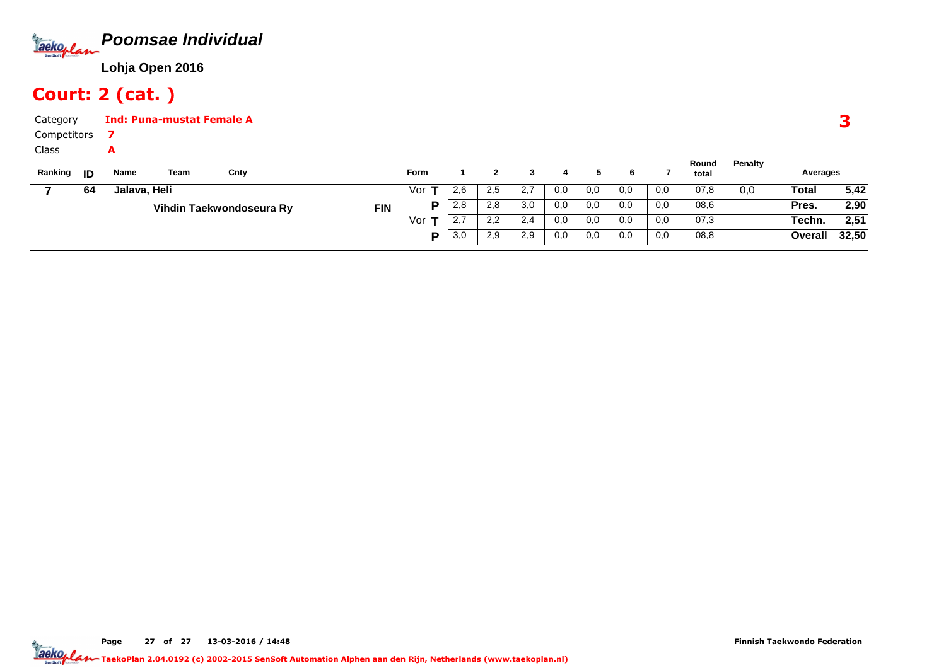

# Court: 2 (cat. )

| Category    |    |              | <b>Ind: Puna-mustat Female A</b> |                          |            |             |     |     |     |     |     |     |     |                |         |              |       |
|-------------|----|--------------|----------------------------------|--------------------------|------------|-------------|-----|-----|-----|-----|-----|-----|-----|----------------|---------|--------------|-------|
| Competitors |    |              |                                  |                          |            |             |     |     |     |     |     |     |     |                |         |              |       |
| Class       |    | A            |                                  |                          |            |             |     |     |     |     |     |     |     |                |         |              |       |
| Ranking     | ID | Name         | Team                             | Cnty                     |            | <b>Form</b> |     |     |     | 4   | 5.  | 6   |     | Round<br>total | Penalty | Averages     |       |
|             | 64 | Jalava, Heli |                                  |                          |            | Vor         | 2,6 | 2,5 | 2,7 | 0,0 | 0,0 | 0,0 | 0,0 | 07,8           | 0,0     | <b>Total</b> | 5,42  |
|             |    |              |                                  | Vihdin Taekwondoseura Ry | <b>FIN</b> | Р           | 2,8 | 2,8 | 3,0 | 0,0 | 0,0 | 0,0 | 0,0 | 08,6           |         | Pres.        | 2,90  |
|             |    |              |                                  |                          |            | Vor         | 2,7 | 2,2 | 2,4 | 0,0 | 0,0 | 0,0 | 0,0 | 07,3           |         | Techn.       | 2,51  |
|             |    |              |                                  |                          |            | P           | 3,0 | 2,9 | 2,9 | 0,0 | 0,0 | 0,0 | 0,0 | 08,8           |         | Overall      | 32,50 |

Page 27 of 27 13-03-2016 / 14:48 27 of 27 13-03-2016 / 14:4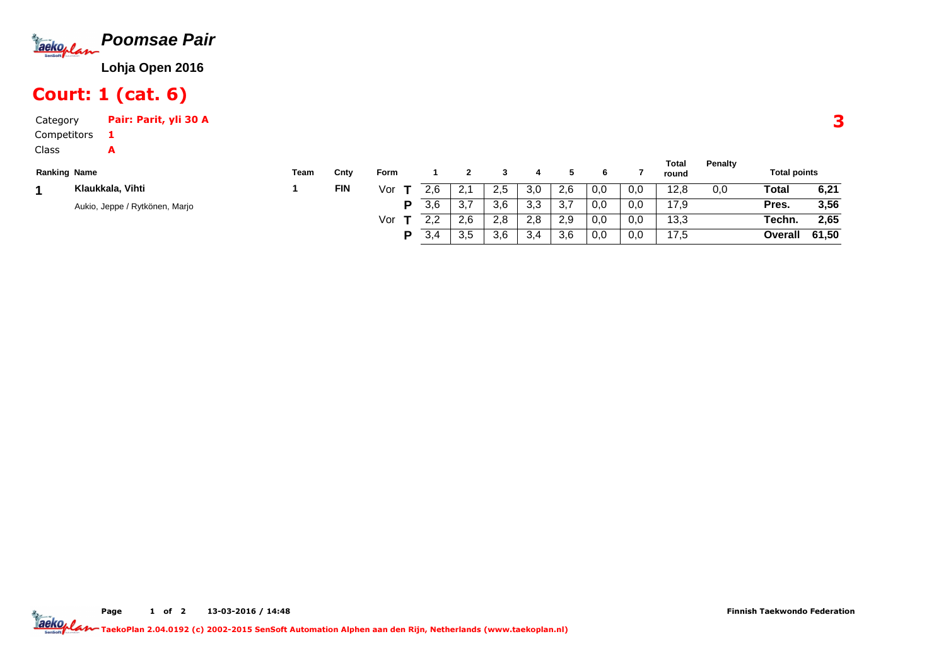

# Court: 1 (cat. 6)

A

Category Pair: Parit, yli 30 A1

Competitors

Class

| <b>Ranking Name</b>            | Team | Cnty       | Form |                                        |           |     |     |          |     |     | Total<br>round | Penalty | <b>Total points</b> |       |
|--------------------------------|------|------------|------|----------------------------------------|-----------|-----|-----|----------|-----|-----|----------------|---------|---------------------|-------|
| Klaukkala, Vihti               |      | <b>FIN</b> | Vor  | 2,6                                    | 2,1       | 2,5 | 3,0 | 2.6      | 0,0 | 0,0 | 12,8           | 0,0     | Total               | 6,21  |
| Aukio, Jeppe / Rytkönen, Marjo |      |            | Ð    | 3.6                                    | 37<br>    | 3.6 | 3,3 | -27<br>ت | 0,0 | 0,0 | 17.9           |         | Pres.               | 3,56  |
|                                |      |            | Vor  | $\Omega$<br>$\mathcal{L}, \mathcal{L}$ | 2,6       | 2,8 | 2,8 | 2.9      | 0,0 | 0,0 | 13,3           |         | Techn.              | 2,65  |
|                                |      |            | D    | 3,4                                    | つに<br>ა.ა | 3,6 | 3,4 | 3,6      | 0,0 | 0,0 | 17,5           |         | Overall             | 61,50 |

**Total**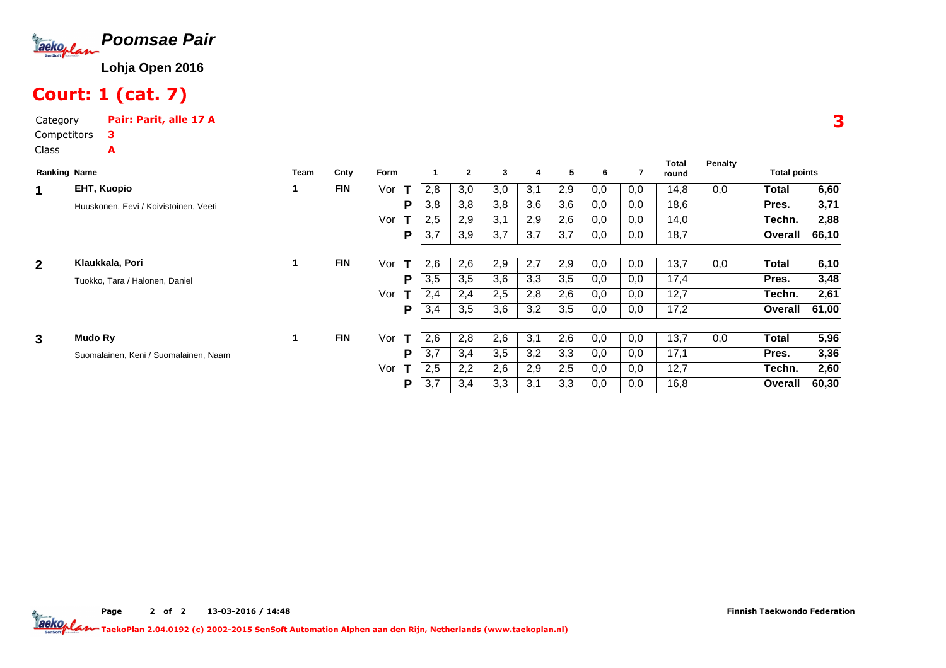

# Court: 1 (cat. 7)

Category Pair: Parit, alle 17 ACompetitorsClass3A

| <b>Ranking Name</b> |                                       | <b>Team</b> | Cnty       | Form     |     | $\overline{2}$ | 3   | 4   | 5   | 6   |     | Total<br>round | Penalty | <b>Total points</b> |       |
|---------------------|---------------------------------------|-------------|------------|----------|-----|----------------|-----|-----|-----|-----|-----|----------------|---------|---------------------|-------|
| 1                   | <b>EHT, Kuopio</b>                    |             | <b>FIN</b> | Vor<br>Т | 2.8 | 3,0            | 3,0 | 3,1 | 2,9 | 0,0 | 0,0 | 14,8           | 0,0     | Total               | 6,60  |
|                     | Huuskonen, Eevi / Koivistoinen, Veeti |             |            | P        | 3,8 | 3,8            | 3,8 | 3,6 | 3,6 | 0,0 | 0,0 | 18,6           |         | Pres.               | 3,71  |
|                     |                                       |             |            | Vor      | 2,5 | 2,9            | 3,1 | 2,9 | 2,6 | 0,0 | 0,0 | 14,0           |         | Techn.              | 2,88  |
|                     |                                       |             |            | Ρ        | 3,7 | 3,9            | 3,7 | 3,7 | 3,7 | 0,0 | 0,0 | 18,7           |         | Overall             | 66,10 |
| $\mathbf{2}$        | Klaukkala, Pori                       |             | <b>FIN</b> | Vor      | 2.6 | 2,6            | 2,9 | 2,7 | 2,9 | 0,0 | 0,0 | 13,7           | 0,0     | Total               | 6,10  |
|                     | Tuokko, Tara / Halonen, Daniel        |             |            | Р        | 3,5 | 3,5            | 3,6 | 3,3 | 3,5 | 0,0 | 0,0 | 17,4           |         | Pres.               | 3,48  |
|                     |                                       |             |            | Vor      | 2,4 | 2,4            | 2,5 | 2,8 | 2,6 | 0,0 | 0,0 | 12,7           |         | Techn.              | 2,61  |
|                     |                                       |             |            | Р        | 3,4 | 3,5            | 3,6 | 3,2 | 3,5 | 0,0 | 0,0 | 17,2           |         | Overall             | 61,00 |
| $\mathbf{3}$        | Mudo Ry                               |             | <b>FIN</b> | Vor<br>т | 2,6 | 2,8            | 2,6 | 3,1 | 2,6 | 0,0 | 0,0 | 13,7           | 0,0     | Total               | 5,96  |
|                     | Suomalainen, Keni / Suomalainen, Naam |             |            | Р        | 3,7 | 3,4            | 3,5 | 3,2 | 3,3 | 0,0 | 0,0 | 17,1           |         | Pres.               | 3,36  |
|                     |                                       |             |            | Vor      | 2,5 | 2,2            | 2,6 | 2,9 | 2,5 | 0,0 | 0,0 | 12,7           |         | Techn.              | 2,60  |
|                     |                                       |             |            | Р        | 3,7 | 3,4            | 3,3 | 3,1 | 3,3 | 0,0 | 0,0 | 16,8           |         | Overall             | 60,30 |

Page 2 of 2 13-03-2016 / 14:48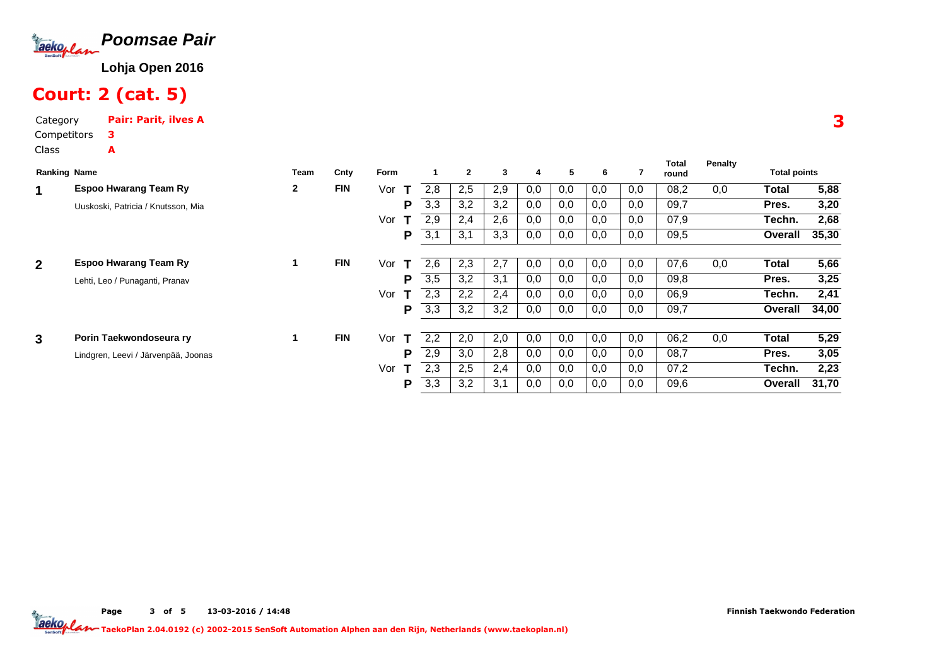

# Court: 2 (cat. 5)

Category Pair: Parit, ilves ACompetitorsClass3A

|                | <b>Ranking Name</b>                 |              | Cnty       | Form               |     | $\overline{2}$ | 3   | 4   | 5   | 6   |     | Total | Penalty | <b>Total points</b> |       |
|----------------|-------------------------------------|--------------|------------|--------------------|-----|----------------|-----|-----|-----|-----|-----|-------|---------|---------------------|-------|
|                |                                     | <b>Team</b>  |            |                    |     |                |     |     |     |     |     | round |         |                     |       |
| 1              | <b>Espoo Hwarang Team Ry</b>        | $\mathbf{2}$ | <b>FIN</b> | Vor<br>т           | 2.8 | 2,5            | 2,9 | 0,0 | 0,0 | 0,0 | 0,0 | 08,2  | 0,0     | Total               | 5,88  |
|                | Uuskoski, Patricia / Knutsson, Mia  |              |            | P                  | 3,3 | 3,2            | 3,2 | 0,0 | 0,0 | 0,0 | 0,0 | 09,7  |         | Pres.               | 3,20  |
|                |                                     |              |            | Vor                | 2,9 | 2,4            | 2,6 | 0,0 | 0,0 | 0,0 | 0,0 | 07,9  |         | Techn.              | 2,68  |
|                |                                     |              |            | P                  | 3,1 | 3,1            | 3,3 | 0,0 | 0,0 | 0,0 | 0,0 | 09,5  |         | Overall             | 35,30 |
|                |                                     |              |            |                    |     |                |     |     |     |     |     |       |         |                     |       |
| $\overline{2}$ | <b>Espoo Hwarang Team Ry</b>        |              | <b>FIN</b> | Vor<br>$\mathbf T$ | 2.6 | 2,3            | 2,7 | 0,0 | 0,0 | 0,0 | 0,0 | 07,6  | 0,0     | <b>Total</b>        | 5,66  |
|                | Lehti, Leo / Punaganti, Pranav      |              |            | P                  | 3,5 | 3,2            | 3,1 | 0,0 | 0,0 | 0,0 | 0,0 | 09,8  |         | Pres.               | 3,25  |
|                |                                     |              |            | Vor                | 2,3 | 2,2            | 2,4 | 0,0 | 0,0 | 0,0 | 0,0 | 06,9  |         | Techn.              | 2,41  |
|                |                                     |              |            | P                  | 3,3 | 3,2            | 3,2 | 0,0 | 0,0 | 0,0 | 0,0 | 09,7  |         | Overall             | 34,00 |
|                |                                     |              |            |                    |     |                |     |     |     |     |     |       |         |                     |       |
| 3              | Porin Taekwondoseura ry             |              | <b>FIN</b> | Vor<br>т           | 2,2 | 2,0            | 2,0 | 0,0 | 0,0 | 0,0 | 0,0 | 06,2  | 0,0     | <b>Total</b>        | 5,29  |
|                | Lindgren, Leevi / Järvenpää, Joonas |              |            | P                  | 2,9 | 3,0            | 2,8 | 0,0 | 0,0 | 0,0 | 0,0 | 08,7  |         | Pres.               | 3,05  |
|                |                                     |              |            | Vor                | 2,3 | 2,5            | 2,4 | 0,0 | 0,0 | 0,0 | 0,0 | 07,2  |         | Techn.              | 2,23  |
|                |                                     |              |            | Р                  | 3,3 | 3,2            | 3,1 | 0,0 | 0,0 | 0,0 | 0,0 | 09,6  |         | Overall             | 31,70 |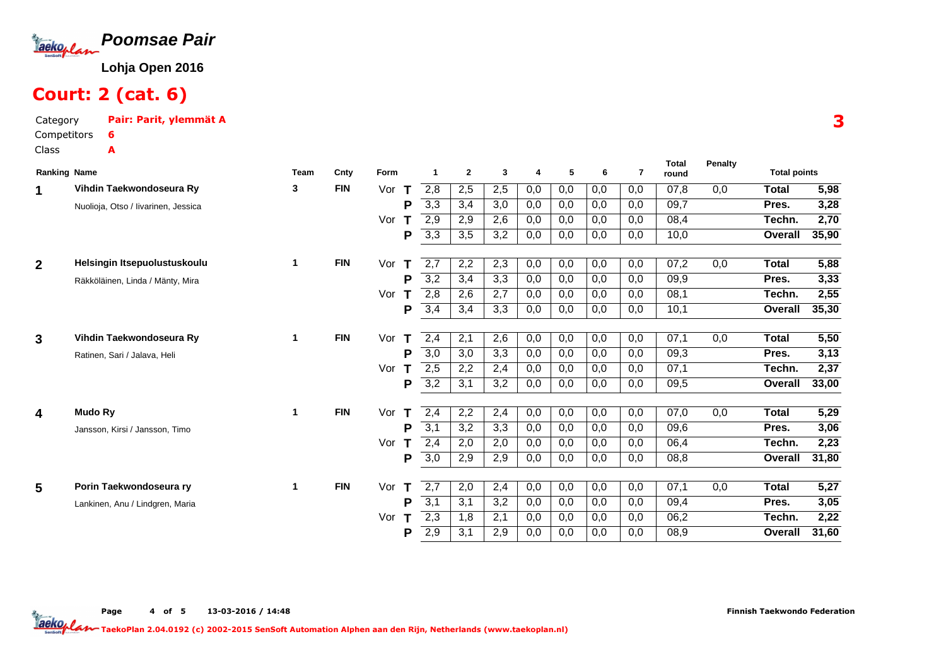

# Court: 2 (cat. 6)

Category Pair: Parit, ylemmät ACompetitorsClass6A

| <b>Ranking Name</b> |                                     | <b>Team</b> | Cnty       | Form     | 1                | $\mathbf{2}$ | 3   | 4   | 5   | 6   | 7   | <b>Total</b><br>round | Penalty | <b>Total points</b> |       |
|---------------------|-------------------------------------|-------------|------------|----------|------------------|--------------|-----|-----|-----|-----|-----|-----------------------|---------|---------------------|-------|
| 1                   | Vihdin Taekwondoseura Ry            | 3           | <b>FIN</b> | Vor<br>т | 2,8              | 2,5          | 2,5 | 0,0 | 0,0 | 0,0 | 0,0 | 07.8                  | 0.0     | <b>Total</b>        | 5,98  |
|                     | Nuolioja, Otso / livarinen, Jessica |             |            | P        | 3,3              | 3,4          | 3,0 | 0,0 | 0,0 | 0,0 | 0,0 | 09,7                  |         | Pres.               | 3,28  |
|                     |                                     |             |            | Vor      | 2,9              | 2,9          | 2,6 | 0,0 | 0,0 | 0,0 | 0,0 | 08,4                  |         | Techn.              | 2,70  |
|                     |                                     |             |            | P        | 3,3              | 3,5          | 3,2 | 0,0 | 0,0 | 0,0 | 0,0 | 10,0                  |         | Overall             | 35,90 |
|                     |                                     |             |            |          |                  |              |     |     |     |     |     |                       |         |                     |       |
| $\overline{2}$      | Helsingin Itsepuolustuskoulu        | 1           | <b>FIN</b> | Vor<br>т | 2,7              | 2,2          | 2,3 | 0,0 | 0,0 | 0,0 | 0,0 | 07,2                  | 0,0     | <b>Total</b>        | 5,88  |
|                     | Räkköläinen, Linda / Mänty, Mira    |             |            | P        | 3,2              | 3,4          | 3,3 | 0,0 | 0,0 | 0,0 | 0,0 | 09,9                  |         | Pres.               | 3,33  |
|                     |                                     |             |            | Vor      | 2,8              | 2,6          | 2,7 | 0,0 | 0,0 | 0,0 | 0,0 | 08,1                  |         | Techn.              | 2,55  |
|                     |                                     |             |            | P        | 3,4              | 3,4          | 3,3 | 0,0 | 0,0 | 0,0 | 0,0 | 10,1                  |         | Overall             | 35,30 |
|                     |                                     |             |            |          |                  |              |     |     |     |     |     |                       |         |                     |       |
| 3                   | Vihdin Taekwondoseura Ry            | 1           | <b>FIN</b> | Vor      | 2,4              | 2,1          | 2,6 | 0,0 | 0,0 | 0,0 | 0,0 | 07,1                  | 0,0     | Total               | 5,50  |
|                     | Ratinen, Sari / Jalava, Heli        |             |            | P        | $\overline{3,0}$ | 3,0          | 3,3 | 0,0 | 0,0 | 0,0 | 0,0 | 09,3                  |         | Pres.               | 3,13  |
|                     |                                     |             |            | Vor      | 2,5              | 2,2          | 2,4 | 0,0 | 0,0 | 0,0 | 0,0 | 07,1                  |         | Techn.              | 2,37  |
|                     |                                     |             |            | P        | $\overline{3,2}$ | 3,1          | 3,2 | 0,0 | 0,0 | 0,0 | 0,0 | 09,5                  |         | Overall             | 33,00 |
| 4                   | Mudo Ry                             | 1           | <b>FIN</b> | Vor<br>т | 2,4              | 2,2          | 2,4 | 0,0 | 0,0 | 0,0 | 0,0 | 07,0                  | 0,0     | Total               | 5,29  |
|                     | Jansson, Kirsi / Jansson, Timo      |             |            | P        | 3,1              | 3,2          | 3,3 | 0,0 | 0,0 | 0,0 | 0,0 | 09,6                  |         | Pres.               | 3,06  |
|                     |                                     |             |            | Vor      | 2,4              | 2,0          | 2,0 | 0,0 | 0,0 | 0,0 | 0,0 | 06,4                  |         | Techn.              | 2,23  |
|                     |                                     |             |            | P        | 3,0              | 2,9          | 2,9 | 0,0 | 0,0 | 0,0 | 0,0 | 08,8                  |         | Overall             | 31,80 |
|                     |                                     |             |            |          |                  |              |     |     |     |     |     |                       |         |                     |       |
| 5                   | Porin Taekwondoseura ry             | 1           | <b>FIN</b> | Vor<br>Т | 2,7              | 2,0          | 2,4 | 0,0 | 0,0 | 0,0 | 0,0 | 07,1                  | 0,0     | Total               | 5,27  |
|                     | Lankinen, Anu / Lindgren, Maria     |             |            | P        | 3,1              | 3,1          | 3,2 | 0,0 | 0,0 | 0,0 | 0,0 | 09,4                  |         | Pres.               | 3,05  |
|                     |                                     |             |            | Vor      | 2,3              | 1,8          | 2,1 | 0,0 | 0,0 | 0,0 | 0,0 | 06,2                  |         | Techn.              | 2,22  |
|                     |                                     |             |            | P        | 2,9              | 3,1          | 2,9 | 0,0 | 0,0 | 0,0 | 0,0 | 08,9                  |         | Overall             | 31,60 |

Page 4 of 5 13-03-2016 / 14:48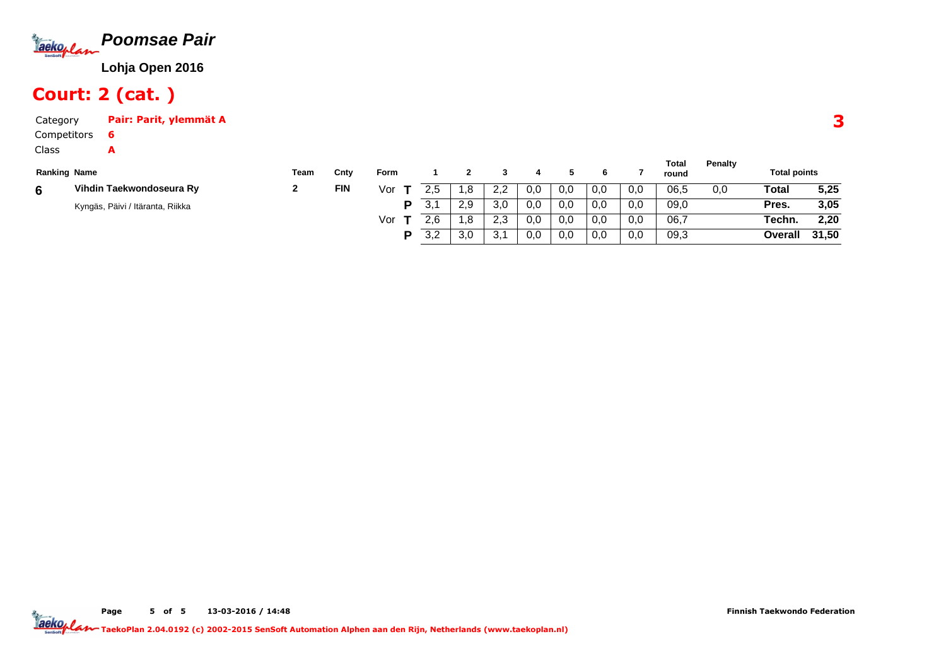

# Court: 2 (cat. )

A

| Category    | Pair: Parit, ylemmät A |
|-------------|------------------------|
| Competitors |                        |

Class

| <b>Ranking Name</b> |                                  | Team | Cntv       | Form |          |            |                  |     |     |     |     | Total<br>round | Penalty | <b>Total points</b> |       |
|---------------------|----------------------------------|------|------------|------|----------|------------|------------------|-----|-----|-----|-----|----------------|---------|---------------------|-------|
| 6                   | Vihdin Taekwondoseura Ry         |      | <b>FIN</b> | Vor  | 2.5      | $\cdot$ .8 | っっ<br><u>L.L</u> | 0,0 | 0,0 | 0,0 | 0,0 | 06,5           | 0,0     | Total               | 5,25  |
|                     | Kyngäs, Päivi / Itäranta, Riikka |      |            | P    | 21<br>J. | 2,9        | 3,0              | 0,0 | 0,0 | 0,0 | 0,0 | 09,0           |         | Pres.               | 3,05  |
|                     |                                  |      |            | Vor  |          | 8. ،       | っっ<br>ں ،ے       | 0,0 | 0.0 | 0,0 | 0,0 | 06,7           |         | Techn.              | 2,20  |
|                     |                                  |      |            | D    | 3,2      | 3,0        | $\sim$<br>J.     | 0,0 | 0,0 | 0,0 | 0,0 | 09,3           |         | Overall             | 31,50 |

3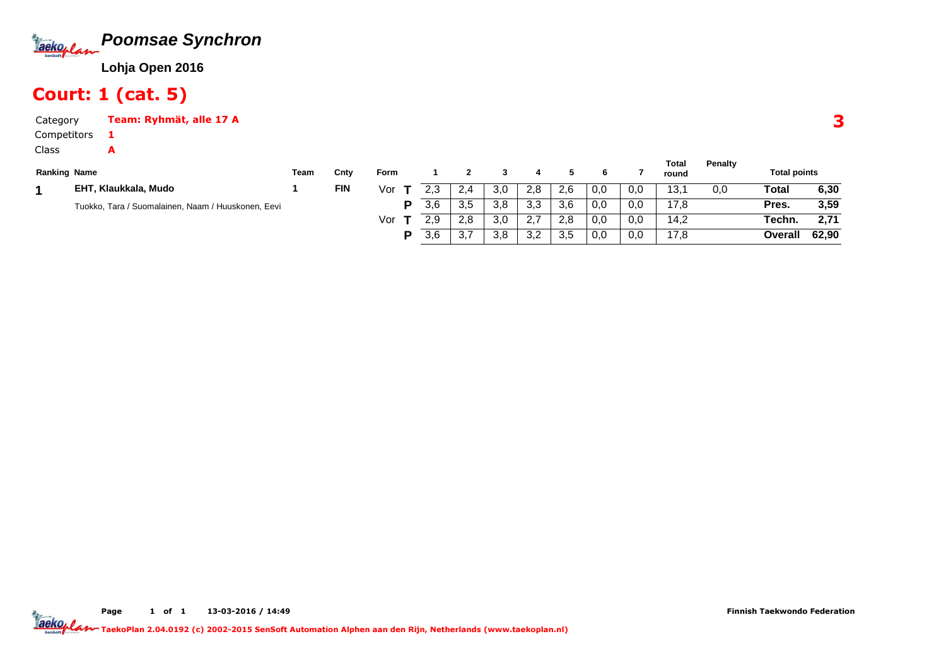

#### Court: 1 (cat. 5)

1A

CategoryTeam: Ryhmät, alle 17 A

Competitors

Class

| <b>Ranking Name</b> |                                                    | Team | Cnty       | Form |           |                      |     |            |     |     |     | Total<br>round | <b>Penalty</b> | <b>Total points</b> |       |
|---------------------|----------------------------------------------------|------|------------|------|-----------|----------------------|-----|------------|-----|-----|-----|----------------|----------------|---------------------|-------|
|                     | EHT, Klaukkala, Mudo                               |      | <b>FIN</b> | Vor  | າາ<br>ت ک | 2.4                  | 3,0 | 2,8        | 2.6 | 0,0 | 0,0 | 13.            | 0.0            | Total               | 6,30  |
|                     | Tuokko, Tara / Suomalainen, Naam / Huuskonen, Eevi |      |            | D    | 3,6       | 3,5                  | 3.8 | 3,3        | 3,6 | 0,0 | 0,0 | 17.8           |                | Pres.               | 3,59  |
|                     |                                                    |      |            | Vor  | 2,9       | 2,8                  | 3,0 | 2.7        | 2.8 | 0,0 | 0,0 | 14.2           |                | Techn.              | 2.71  |
|                     |                                                    |      |            | D    | 3,6       | $\sim$ $\sim$<br>، ب | 3,8 | っっ<br>ے, ب | 3,5 | 0,0 | 0,0 | 17.8           |                | Overall             | 62,90 |

**Total**